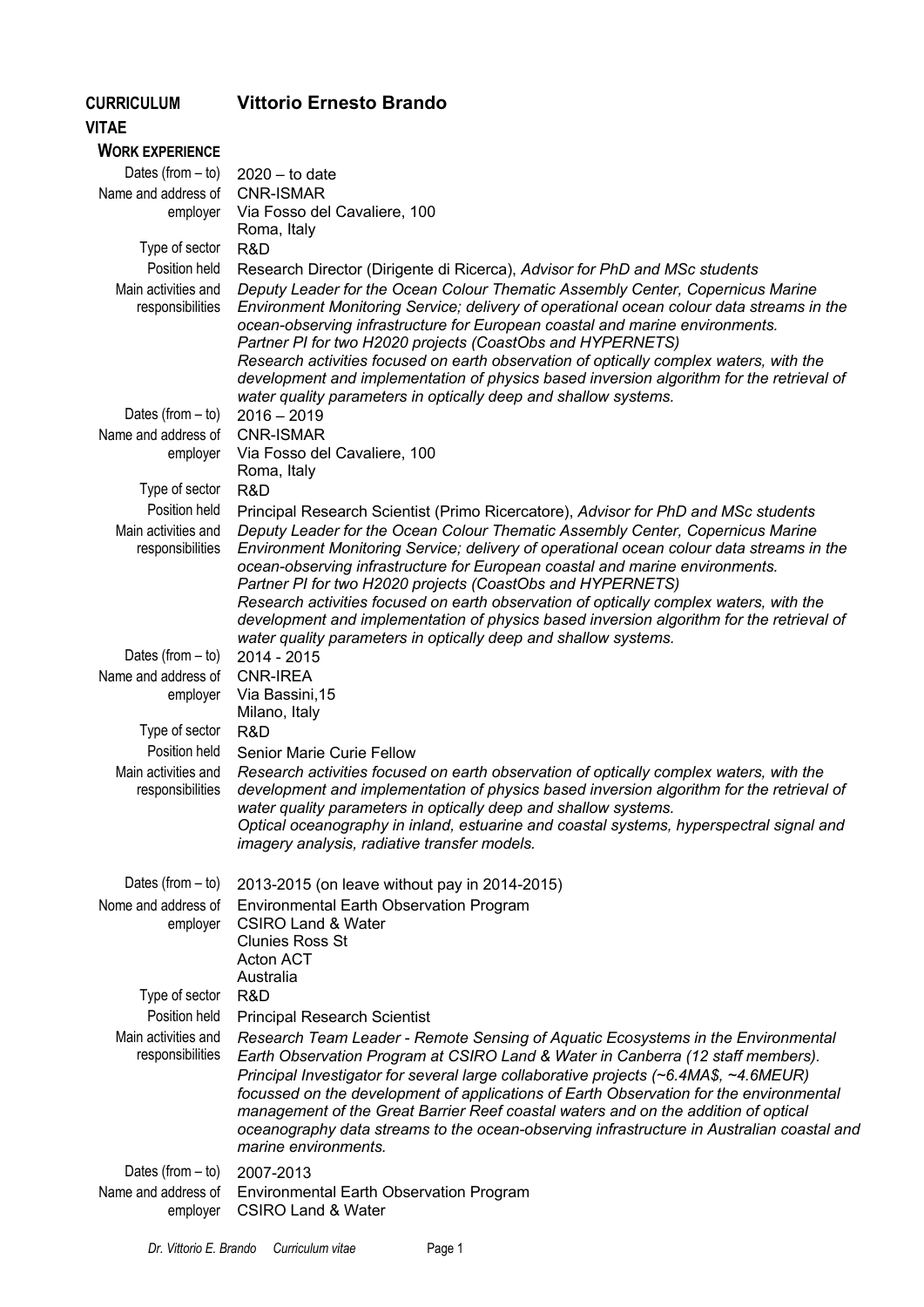## **Vittorio Ernesto Brando**

**CURRICULUM** 

| <b>VITAE</b>                            |                                                                                                                                                                                                                                                                                                                                                                                                                                                                                                                                                                                   |
|-----------------------------------------|-----------------------------------------------------------------------------------------------------------------------------------------------------------------------------------------------------------------------------------------------------------------------------------------------------------------------------------------------------------------------------------------------------------------------------------------------------------------------------------------------------------------------------------------------------------------------------------|
| <b>WORK EXPERIENCE</b>                  |                                                                                                                                                                                                                                                                                                                                                                                                                                                                                                                                                                                   |
| Dates (from $-$ to)                     | $2020 -$ to date                                                                                                                                                                                                                                                                                                                                                                                                                                                                                                                                                                  |
| Name and address of                     | <b>CNR-ISMAR</b>                                                                                                                                                                                                                                                                                                                                                                                                                                                                                                                                                                  |
| employer                                | Via Fosso del Cavaliere, 100<br>Roma, Italy                                                                                                                                                                                                                                                                                                                                                                                                                                                                                                                                       |
| Type of sector                          | R&D                                                                                                                                                                                                                                                                                                                                                                                                                                                                                                                                                                               |
| Position held                           | Research Director (Dirigente di Ricerca), Advisor for PhD and MSc students                                                                                                                                                                                                                                                                                                                                                                                                                                                                                                        |
| Main activities and<br>responsibilities | Deputy Leader for the Ocean Colour Thematic Assembly Center, Copernicus Marine<br>Environment Monitoring Service; delivery of operational ocean colour data streams in the<br>ocean-observing infrastructure for European coastal and marine environments.<br>Partner PI for two H2020 projects (CoastObs and HYPERNETS)<br>Research activities focused on earth observation of optically complex waters, with the<br>development and implementation of physics based inversion algorithm for the retrieval of<br>water quality parameters in optically deep and shallow systems. |
| Dates (from $-$ to)                     | $2016 - 2019$                                                                                                                                                                                                                                                                                                                                                                                                                                                                                                                                                                     |
| Name and address of                     | <b>CNR-ISMAR</b>                                                                                                                                                                                                                                                                                                                                                                                                                                                                                                                                                                  |
| employer                                | Via Fosso del Cavaliere, 100                                                                                                                                                                                                                                                                                                                                                                                                                                                                                                                                                      |
|                                         | Roma, Italy                                                                                                                                                                                                                                                                                                                                                                                                                                                                                                                                                                       |
| Type of sector<br>Position held         | R&D                                                                                                                                                                                                                                                                                                                                                                                                                                                                                                                                                                               |
| Main activities and                     | Principal Research Scientist (Primo Ricercatore), Advisor for PhD and MSc students<br>Deputy Leader for the Ocean Colour Thematic Assembly Center, Copernicus Marine                                                                                                                                                                                                                                                                                                                                                                                                              |
| responsibilities                        | Environment Monitoring Service; delivery of operational ocean colour data streams in the<br>ocean-observing infrastructure for European coastal and marine environments.<br>Partner PI for two H2020 projects (CoastObs and HYPERNETS)<br>Research activities focused on earth observation of optically complex waters, with the<br>development and implementation of physics based inversion algorithm for the retrieval of<br>water quality parameters in optically deep and shallow systems.                                                                                   |
| Dates (from $-$ to)                     | 2014 - 2015                                                                                                                                                                                                                                                                                                                                                                                                                                                                                                                                                                       |
| Name and address of<br>employer         | <b>CNR-IREA</b><br>Via Bassini, 15                                                                                                                                                                                                                                                                                                                                                                                                                                                                                                                                                |
|                                         | Milano, Italy                                                                                                                                                                                                                                                                                                                                                                                                                                                                                                                                                                     |
| Type of sector                          | R&D                                                                                                                                                                                                                                                                                                                                                                                                                                                                                                                                                                               |
| Position held                           | <b>Senior Marie Curie Fellow</b>                                                                                                                                                                                                                                                                                                                                                                                                                                                                                                                                                  |
| Main activities and<br>responsibilities | Research activities focused on earth observation of optically complex waters, with the<br>development and implementation of physics based inversion algorithm for the retrieval of<br>water quality parameters in optically deep and shallow systems.<br>Optical oceanography in inland, estuarine and coastal systems, hyperspectral signal and<br>imagery analysis, radiative transfer models.                                                                                                                                                                                  |
| Dates (from $-$ to)                     | 2013-2015 (on leave without pay in 2014-2015)                                                                                                                                                                                                                                                                                                                                                                                                                                                                                                                                     |
| Nome and address of                     | <b>Environmental Earth Observation Program</b>                                                                                                                                                                                                                                                                                                                                                                                                                                                                                                                                    |
| employer                                | <b>CSIRO Land &amp; Water</b><br><b>Clunies Ross St</b><br><b>Acton ACT</b><br>Australia                                                                                                                                                                                                                                                                                                                                                                                                                                                                                          |
| Type of sector                          | R&D                                                                                                                                                                                                                                                                                                                                                                                                                                                                                                                                                                               |
| Position held                           | <b>Principal Research Scientist</b>                                                                                                                                                                                                                                                                                                                                                                                                                                                                                                                                               |
| Main activities and<br>responsibilities | Research Team Leader - Remote Sensing of Aquatic Ecosystems in the Environmental<br>Earth Observation Program at CSIRO Land & Water in Canberra (12 staff members).<br>Principal Investigator for several large collaborative projects (~6.4MA\$, ~4.6MEUR)<br>focussed on the development of applications of Earth Observation for the environmental<br>management of the Great Barrier Reef coastal waters and on the addition of optical<br>oceanography data streams to the ocean-observing infrastructure in Australian coastal and<br>marine environments.                  |
| Dates (from $-$ to)                     | 2007-2013                                                                                                                                                                                                                                                                                                                                                                                                                                                                                                                                                                         |
| Name and address of<br>employer         | <b>Environmental Earth Observation Program</b><br><b>CSIRO Land &amp; Water</b>                                                                                                                                                                                                                                                                                                                                                                                                                                                                                                   |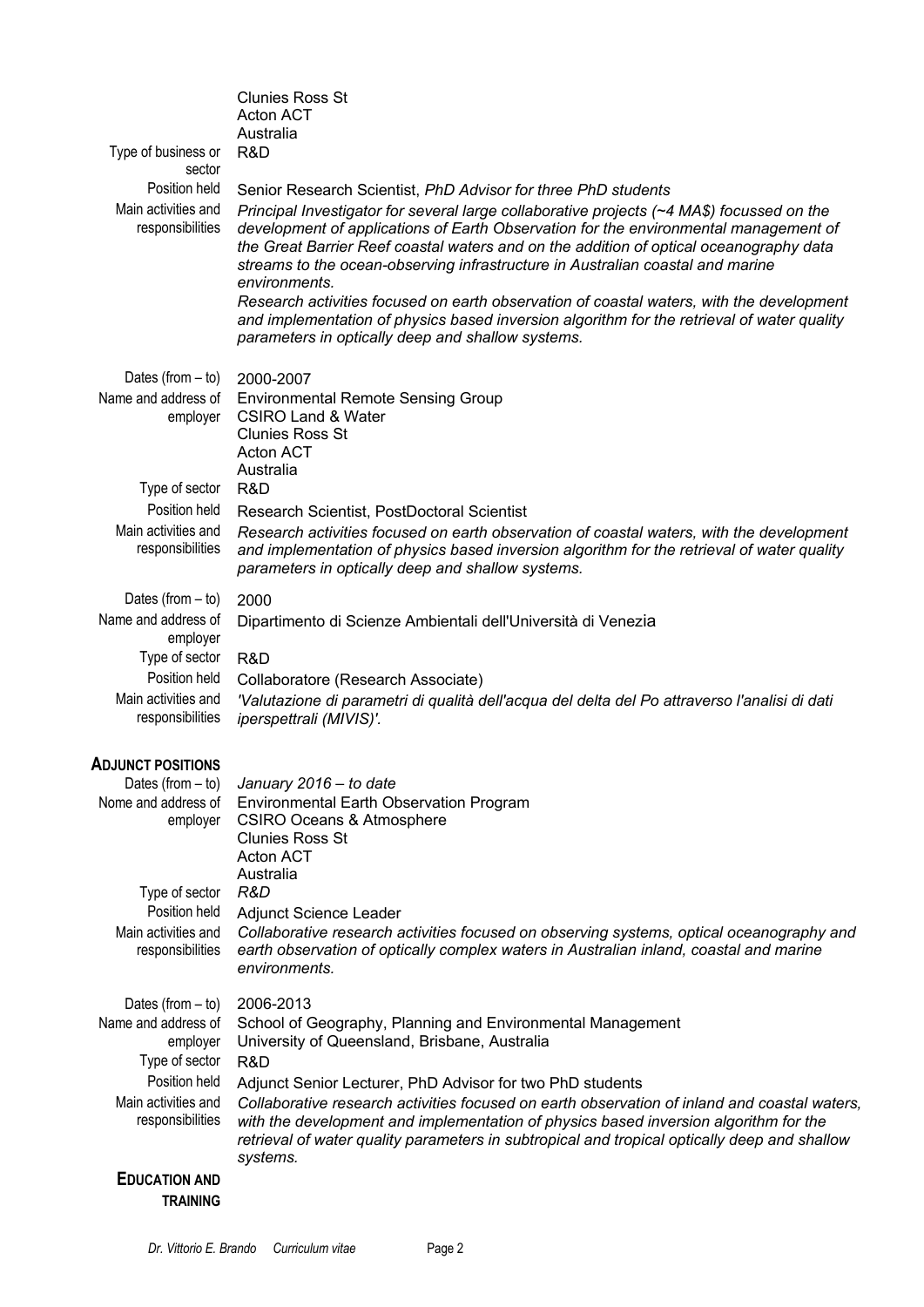| Australia<br>Type of business or<br>R&D<br>sector<br>Position held<br>Senior Research Scientist, PhD Advisor for three PhD students<br>Main activities and<br>Principal Investigator for several large collaborative projects (~4 MA\$) focussed on the<br>responsibilities<br>development of applications of Earth Observation for the environmental management of<br>the Great Barrier Reef coastal waters and on the addition of optical oceanography data<br>streams to the ocean-observing infrastructure in Australian coastal and marine<br>environments.<br>Research activities focused on earth observation of coastal waters, with the development<br>and implementation of physics based inversion algorithm for the retrieval of water quality<br>parameters in optically deep and shallow systems.<br>Dates (from $-$ to)<br>2000-2007<br>Name and address of<br><b>Environmental Remote Sensing Group</b><br><b>CSIRO Land &amp; Water</b><br>employer<br><b>Clunies Ross St</b><br><b>Acton ACT</b><br>Australia<br>Type of sector<br>R&D<br>Position held<br>Research Scientist, PostDoctoral Scientist<br>Main activities and<br>Research activities focused on earth observation of coastal waters, with the development<br>responsibilities<br>and implementation of physics based inversion algorithm for the retrieval of water quality<br>parameters in optically deep and shallow systems.<br>Dates (from $-$ to)<br>2000<br>Name and address of<br>Dipartimento di Scienze Ambientali dell'Università di Venezia<br>employer<br>Type of sector<br>R&D<br>Position held<br>Collaboratore (Research Associate) |                     | <b>Clunies Ross St</b><br><b>Acton ACT</b>                                                    |
|--------------------------------------------------------------------------------------------------------------------------------------------------------------------------------------------------------------------------------------------------------------------------------------------------------------------------------------------------------------------------------------------------------------------------------------------------------------------------------------------------------------------------------------------------------------------------------------------------------------------------------------------------------------------------------------------------------------------------------------------------------------------------------------------------------------------------------------------------------------------------------------------------------------------------------------------------------------------------------------------------------------------------------------------------------------------------------------------------------------------------------------------------------------------------------------------------------------------------------------------------------------------------------------------------------------------------------------------------------------------------------------------------------------------------------------------------------------------------------------------------------------------------------------------------------------------------------------------------------------------------------------|---------------------|-----------------------------------------------------------------------------------------------|
|                                                                                                                                                                                                                                                                                                                                                                                                                                                                                                                                                                                                                                                                                                                                                                                                                                                                                                                                                                                                                                                                                                                                                                                                                                                                                                                                                                                                                                                                                                                                                                                                                                      |                     |                                                                                               |
|                                                                                                                                                                                                                                                                                                                                                                                                                                                                                                                                                                                                                                                                                                                                                                                                                                                                                                                                                                                                                                                                                                                                                                                                                                                                                                                                                                                                                                                                                                                                                                                                                                      |                     |                                                                                               |
|                                                                                                                                                                                                                                                                                                                                                                                                                                                                                                                                                                                                                                                                                                                                                                                                                                                                                                                                                                                                                                                                                                                                                                                                                                                                                                                                                                                                                                                                                                                                                                                                                                      |                     |                                                                                               |
|                                                                                                                                                                                                                                                                                                                                                                                                                                                                                                                                                                                                                                                                                                                                                                                                                                                                                                                                                                                                                                                                                                                                                                                                                                                                                                                                                                                                                                                                                                                                                                                                                                      |                     |                                                                                               |
|                                                                                                                                                                                                                                                                                                                                                                                                                                                                                                                                                                                                                                                                                                                                                                                                                                                                                                                                                                                                                                                                                                                                                                                                                                                                                                                                                                                                                                                                                                                                                                                                                                      |                     |                                                                                               |
|                                                                                                                                                                                                                                                                                                                                                                                                                                                                                                                                                                                                                                                                                                                                                                                                                                                                                                                                                                                                                                                                                                                                                                                                                                                                                                                                                                                                                                                                                                                                                                                                                                      |                     |                                                                                               |
|                                                                                                                                                                                                                                                                                                                                                                                                                                                                                                                                                                                                                                                                                                                                                                                                                                                                                                                                                                                                                                                                                                                                                                                                                                                                                                                                                                                                                                                                                                                                                                                                                                      |                     |                                                                                               |
|                                                                                                                                                                                                                                                                                                                                                                                                                                                                                                                                                                                                                                                                                                                                                                                                                                                                                                                                                                                                                                                                                                                                                                                                                                                                                                                                                                                                                                                                                                                                                                                                                                      |                     |                                                                                               |
|                                                                                                                                                                                                                                                                                                                                                                                                                                                                                                                                                                                                                                                                                                                                                                                                                                                                                                                                                                                                                                                                                                                                                                                                                                                                                                                                                                                                                                                                                                                                                                                                                                      |                     |                                                                                               |
|                                                                                                                                                                                                                                                                                                                                                                                                                                                                                                                                                                                                                                                                                                                                                                                                                                                                                                                                                                                                                                                                                                                                                                                                                                                                                                                                                                                                                                                                                                                                                                                                                                      |                     |                                                                                               |
|                                                                                                                                                                                                                                                                                                                                                                                                                                                                                                                                                                                                                                                                                                                                                                                                                                                                                                                                                                                                                                                                                                                                                                                                                                                                                                                                                                                                                                                                                                                                                                                                                                      |                     |                                                                                               |
|                                                                                                                                                                                                                                                                                                                                                                                                                                                                                                                                                                                                                                                                                                                                                                                                                                                                                                                                                                                                                                                                                                                                                                                                                                                                                                                                                                                                                                                                                                                                                                                                                                      |                     |                                                                                               |
|                                                                                                                                                                                                                                                                                                                                                                                                                                                                                                                                                                                                                                                                                                                                                                                                                                                                                                                                                                                                                                                                                                                                                                                                                                                                                                                                                                                                                                                                                                                                                                                                                                      |                     |                                                                                               |
|                                                                                                                                                                                                                                                                                                                                                                                                                                                                                                                                                                                                                                                                                                                                                                                                                                                                                                                                                                                                                                                                                                                                                                                                                                                                                                                                                                                                                                                                                                                                                                                                                                      |                     |                                                                                               |
|                                                                                                                                                                                                                                                                                                                                                                                                                                                                                                                                                                                                                                                                                                                                                                                                                                                                                                                                                                                                                                                                                                                                                                                                                                                                                                                                                                                                                                                                                                                                                                                                                                      |                     |                                                                                               |
|                                                                                                                                                                                                                                                                                                                                                                                                                                                                                                                                                                                                                                                                                                                                                                                                                                                                                                                                                                                                                                                                                                                                                                                                                                                                                                                                                                                                                                                                                                                                                                                                                                      |                     |                                                                                               |
|                                                                                                                                                                                                                                                                                                                                                                                                                                                                                                                                                                                                                                                                                                                                                                                                                                                                                                                                                                                                                                                                                                                                                                                                                                                                                                                                                                                                                                                                                                                                                                                                                                      |                     |                                                                                               |
|                                                                                                                                                                                                                                                                                                                                                                                                                                                                                                                                                                                                                                                                                                                                                                                                                                                                                                                                                                                                                                                                                                                                                                                                                                                                                                                                                                                                                                                                                                                                                                                                                                      |                     |                                                                                               |
| responsibilities<br>iperspettrali (MIVIS)'.                                                                                                                                                                                                                                                                                                                                                                                                                                                                                                                                                                                                                                                                                                                                                                                                                                                                                                                                                                                                                                                                                                                                                                                                                                                                                                                                                                                                                                                                                                                                                                                          | Main activities and | 'Valutazione di parametri di qualità dell'acqua del delta del Po attraverso l'analisi di dati |
| <b>ADJUNCT POSITIONS</b>                                                                                                                                                                                                                                                                                                                                                                                                                                                                                                                                                                                                                                                                                                                                                                                                                                                                                                                                                                                                                                                                                                                                                                                                                                                                                                                                                                                                                                                                                                                                                                                                             |                     |                                                                                               |
| Dates (from $-$ to) January 2016 $-$ to date                                                                                                                                                                                                                                                                                                                                                                                                                                                                                                                                                                                                                                                                                                                                                                                                                                                                                                                                                                                                                                                                                                                                                                                                                                                                                                                                                                                                                                                                                                                                                                                         |                     |                                                                                               |
| Nome and address of<br><b>Environmental Earth Observation Program</b><br>employer<br><b>CSIRO Oceans &amp; Atmosphere</b>                                                                                                                                                                                                                                                                                                                                                                                                                                                                                                                                                                                                                                                                                                                                                                                                                                                                                                                                                                                                                                                                                                                                                                                                                                                                                                                                                                                                                                                                                                            |                     |                                                                                               |
| <b>Clunies Ross St</b><br><b>Acton ACT</b>                                                                                                                                                                                                                                                                                                                                                                                                                                                                                                                                                                                                                                                                                                                                                                                                                                                                                                                                                                                                                                                                                                                                                                                                                                                                                                                                                                                                                                                                                                                                                                                           |                     |                                                                                               |
| Australia                                                                                                                                                                                                                                                                                                                                                                                                                                                                                                                                                                                                                                                                                                                                                                                                                                                                                                                                                                                                                                                                                                                                                                                                                                                                                                                                                                                                                                                                                                                                                                                                                            |                     |                                                                                               |
| R&D<br>Type of sector                                                                                                                                                                                                                                                                                                                                                                                                                                                                                                                                                                                                                                                                                                                                                                                                                                                                                                                                                                                                                                                                                                                                                                                                                                                                                                                                                                                                                                                                                                                                                                                                                |                     |                                                                                               |
| Position held<br>Adjunct Science Leader                                                                                                                                                                                                                                                                                                                                                                                                                                                                                                                                                                                                                                                                                                                                                                                                                                                                                                                                                                                                                                                                                                                                                                                                                                                                                                                                                                                                                                                                                                                                                                                              |                     |                                                                                               |
| Main activities and<br>earth observation of optically complex waters in Australian inland, coastal and marine<br>responsibilities<br>environments.                                                                                                                                                                                                                                                                                                                                                                                                                                                                                                                                                                                                                                                                                                                                                                                                                                                                                                                                                                                                                                                                                                                                                                                                                                                                                                                                                                                                                                                                                   |                     | Collaborative research activities focused on observing systems, optical oceanography and      |
| 2006-2013<br>Dates (from $-$ to)                                                                                                                                                                                                                                                                                                                                                                                                                                                                                                                                                                                                                                                                                                                                                                                                                                                                                                                                                                                                                                                                                                                                                                                                                                                                                                                                                                                                                                                                                                                                                                                                     |                     |                                                                                               |
| Name and address of<br>School of Geography, Planning and Environmental Management                                                                                                                                                                                                                                                                                                                                                                                                                                                                                                                                                                                                                                                                                                                                                                                                                                                                                                                                                                                                                                                                                                                                                                                                                                                                                                                                                                                                                                                                                                                                                    |                     |                                                                                               |
| University of Queensland, Brisbane, Australia<br>employer                                                                                                                                                                                                                                                                                                                                                                                                                                                                                                                                                                                                                                                                                                                                                                                                                                                                                                                                                                                                                                                                                                                                                                                                                                                                                                                                                                                                                                                                                                                                                                            |                     |                                                                                               |
| Type of sector<br>R&D                                                                                                                                                                                                                                                                                                                                                                                                                                                                                                                                                                                                                                                                                                                                                                                                                                                                                                                                                                                                                                                                                                                                                                                                                                                                                                                                                                                                                                                                                                                                                                                                                |                     |                                                                                               |
| Position held<br>Adjunct Senior Lecturer, PhD Advisor for two PhD students<br>Main activities and                                                                                                                                                                                                                                                                                                                                                                                                                                                                                                                                                                                                                                                                                                                                                                                                                                                                                                                                                                                                                                                                                                                                                                                                                                                                                                                                                                                                                                                                                                                                    |                     | Collaborative research activities focused on earth observation of inland and coastal waters,  |
| responsibilities<br>with the development and implementation of physics based inversion algorithm for the<br>systems.                                                                                                                                                                                                                                                                                                                                                                                                                                                                                                                                                                                                                                                                                                                                                                                                                                                                                                                                                                                                                                                                                                                                                                                                                                                                                                                                                                                                                                                                                                                 |                     | retrieval of water quality parameters in subtropical and tropical optically deep and shallow  |
| <b>EDUCATION AND</b><br><b>TRAINING</b>                                                                                                                                                                                                                                                                                                                                                                                                                                                                                                                                                                                                                                                                                                                                                                                                                                                                                                                                                                                                                                                                                                                                                                                                                                                                                                                                                                                                                                                                                                                                                                                              |                     |                                                                                               |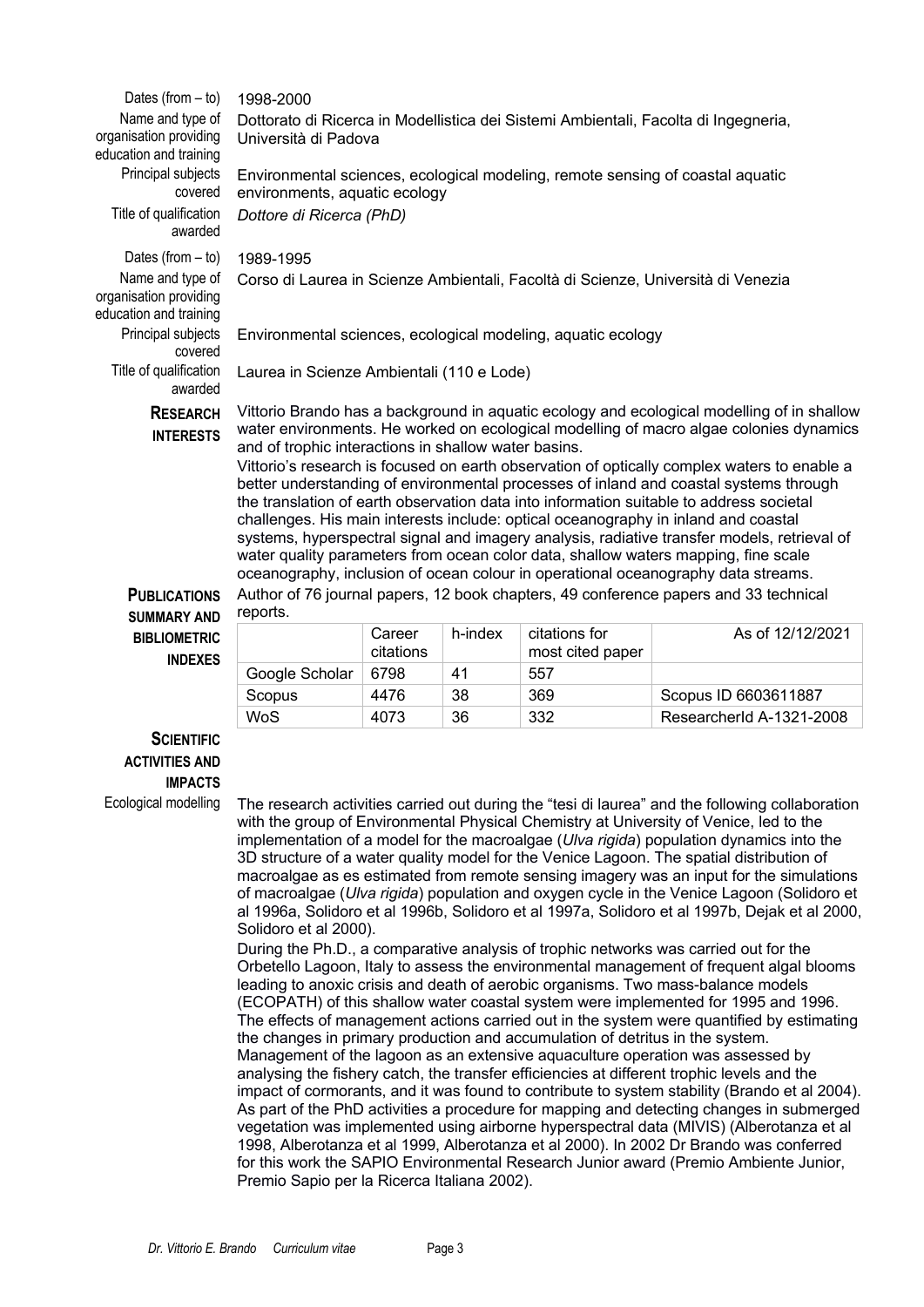| Dates (from $-$ to)                                                  | 1998-2000                                                                                                                                                                                                                                                                                                                                                                                                                                                                                                                                                                                                                                                                                                                                                                                                                                                                                       |                     |         |                                   |                  |
|----------------------------------------------------------------------|-------------------------------------------------------------------------------------------------------------------------------------------------------------------------------------------------------------------------------------------------------------------------------------------------------------------------------------------------------------------------------------------------------------------------------------------------------------------------------------------------------------------------------------------------------------------------------------------------------------------------------------------------------------------------------------------------------------------------------------------------------------------------------------------------------------------------------------------------------------------------------------------------|---------------------|---------|-----------------------------------|------------------|
| Name and type of<br>organisation providing<br>education and training | Dottorato di Ricerca in Modellistica dei Sistemi Ambientali, Facolta di Ingegneria,<br>Università di Padova                                                                                                                                                                                                                                                                                                                                                                                                                                                                                                                                                                                                                                                                                                                                                                                     |                     |         |                                   |                  |
| Principal subjects<br>covered                                        | Environmental sciences, ecological modeling, remote sensing of coastal aquatic<br>environments, aquatic ecology                                                                                                                                                                                                                                                                                                                                                                                                                                                                                                                                                                                                                                                                                                                                                                                 |                     |         |                                   |                  |
| Title of qualification<br>awarded                                    | Dottore di Ricerca (PhD)                                                                                                                                                                                                                                                                                                                                                                                                                                                                                                                                                                                                                                                                                                                                                                                                                                                                        |                     |         |                                   |                  |
| Dates (from $-$ to)                                                  | 1989-1995                                                                                                                                                                                                                                                                                                                                                                                                                                                                                                                                                                                                                                                                                                                                                                                                                                                                                       |                     |         |                                   |                  |
| Name and type of<br>organisation providing<br>education and training | Corso di Laurea in Scienze Ambientali, Facoltà di Scienze, Università di Venezia                                                                                                                                                                                                                                                                                                                                                                                                                                                                                                                                                                                                                                                                                                                                                                                                                |                     |         |                                   |                  |
| Principal subjects<br>covered                                        | Environmental sciences, ecological modeling, aquatic ecology                                                                                                                                                                                                                                                                                                                                                                                                                                                                                                                                                                                                                                                                                                                                                                                                                                    |                     |         |                                   |                  |
| Title of qualification<br>awarded                                    | Laurea in Scienze Ambientali (110 e Lode)                                                                                                                                                                                                                                                                                                                                                                                                                                                                                                                                                                                                                                                                                                                                                                                                                                                       |                     |         |                                   |                  |
| <b>RESEARCH</b><br><b>INTERESTS</b>                                  | Vittorio Brando has a background in aquatic ecology and ecological modelling of in shallow<br>water environments. He worked on ecological modelling of macro algae colonies dynamics<br>and of trophic interactions in shallow water basins.<br>Vittorio's research is focused on earth observation of optically complex waters to enable a<br>better understanding of environmental processes of inland and coastal systems through<br>the translation of earth observation data into information suitable to address societal<br>challenges. His main interests include: optical oceanography in inland and coastal<br>systems, hyperspectral signal and imagery analysis, radiative transfer models, retrieval of<br>water quality parameters from ocean color data, shallow waters mapping, fine scale<br>oceanography, inclusion of ocean colour in operational oceanography data streams. |                     |         |                                   |                  |
| <b>PUBLICATIONS</b><br><b>SUMMARY AND</b>                            | Author of 76 journal papers, 12 book chapters, 49 conference papers and 33 technical<br>reports.                                                                                                                                                                                                                                                                                                                                                                                                                                                                                                                                                                                                                                                                                                                                                                                                |                     |         |                                   |                  |
| <b>BIBLIOMETRIC</b><br><b>INDEXES</b>                                |                                                                                                                                                                                                                                                                                                                                                                                                                                                                                                                                                                                                                                                                                                                                                                                                                                                                                                 | Career<br>citations | h-index | citations for<br>most cited paper | As of 12/12/2021 |
|                                                                      | Google Scholar                                                                                                                                                                                                                                                                                                                                                                                                                                                                                                                                                                                                                                                                                                                                                                                                                                                                                  | 6798                | 41      | 557                               |                  |

## **SCIENTIFIC ACTIVITIES AND IMPACTS**

Ecological modelling The research activities carried out during the "tesi di laurea" and the following collaboration with the group of Environmental Physical Chemistry at University of Venice, led to the implementation of a model for the macroalgae (*Ulva rigida*) population dynamics into the 3D structure of a water quality model for the Venice Lagoon. The spatial distribution of macroalgae as es estimated from remote sensing imagery was an input for the simulations of macroalgae (*Ulva rigida*) population and oxygen cycle in the Venice Lagoon (Solidoro et al 1996a, Solidoro et al 1996b, Solidoro et al 1997a, Solidoro et al 1997b, Dejak et al 2000, Solidoro et al 2000).

Scopus 4476 38 369 Scopus ID 6603611887 WoS 4073 36 332 ResearcherId A-1321-2008

During the Ph.D., a comparative analysis of trophic networks was carried out for the Orbetello Lagoon, Italy to assess the environmental management of frequent algal blooms leading to anoxic crisis and death of aerobic organisms. Two mass-balance models (ECOPATH) of this shallow water coastal system were implemented for 1995 and 1996. The effects of management actions carried out in the system were quantified by estimating the changes in primary production and accumulation of detritus in the system. Management of the lagoon as an extensive aquaculture operation was assessed by analysing the fishery catch, the transfer efficiencies at different trophic levels and the impact of cormorants, and it was found to contribute to system stability (Brando et al 2004). As part of the PhD activities a procedure for mapping and detecting changes in submerged vegetation was implemented using airborne hyperspectral data (MIVIS) (Alberotanza et al 1998, Alberotanza et al 1999, Alberotanza et al 2000). In 2002 Dr Brando was conferred for this work the SAPIO Environmental Research Junior award (Premio Ambiente Junior, Premio Sapio per la Ricerca Italiana 2002).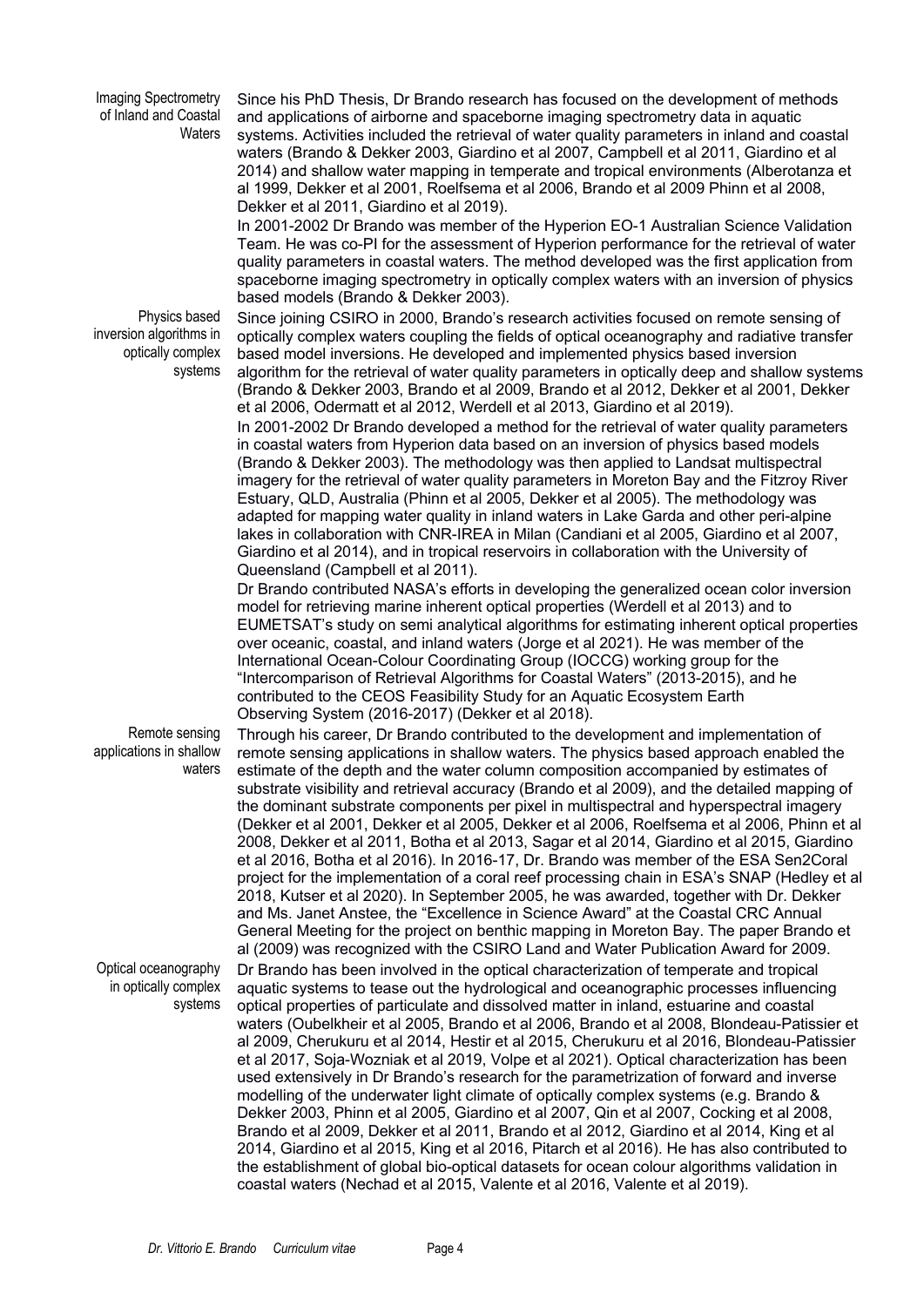Imaging Spectrometry of Inland and Coastal **Waters** 

Since his PhD Thesis, Dr Brando research has focused on the development of methods and applications of airborne and spaceborne imaging spectrometry data in aquatic systems. Activities included the retrieval of water quality parameters in inland and coastal waters (Brando & Dekker 2003, Giardino et al 2007, Campbell et al 2011, Giardino et al 2014) and shallow water mapping in temperate and tropical environments (Alberotanza et al 1999, Dekker et al 2001, Roelfsema et al 2006, Brando et al 2009 Phinn et al 2008, Dekker et al 2011, Giardino et al 2019).

In 2001-2002 Dr Brando was member of the Hyperion EO-1 Australian Science Validation Team. He was co-PI for the assessment of Hyperion performance for the retrieval of water quality parameters in coastal waters. The method developed was the first application from spaceborne imaging spectrometry in optically complex waters with an inversion of physics based models (Brando & Dekker 2003).

Physics based inversion algorithms in optically complex systems

Since joining CSIRO in 2000, Brando's research activities focused on remote sensing of optically complex waters coupling the fields of optical oceanography and radiative transfer based model inversions. He developed and implemented physics based inversion algorithm for the retrieval of water quality parameters in optically deep and shallow systems (Brando & Dekker 2003, Brando et al 2009, Brando et al 2012, Dekker et al 2001, Dekker et al 2006, Odermatt et al 2012, Werdell et al 2013, Giardino et al 2019). In 2001-2002 Dr Brando developed a method for the retrieval of water quality parameters in coastal waters from Hyperion data based on an inversion of physics based models (Brando & Dekker 2003). The methodology was then applied to Landsat multispectral imagery for the retrieval of water quality parameters in Moreton Bay and the Fitzroy River Estuary, QLD, Australia (Phinn et al 2005, Dekker et al 2005). The methodology was adapted for mapping water quality in inland waters in Lake Garda and other peri-alpine lakes in collaboration with CNR-IREA in Milan (Candiani et al 2005, Giardino et al 2007, Giardino et al 2014), and in tropical reservoirs in collaboration with the University of Queensland (Campbell et al 2011).

Dr Brando contributed NASA's efforts in developing the generalized ocean color inversion model for retrieving marine inherent optical properties (Werdell et al 2013) and to EUMETSAT's study on semi analytical algorithms for estimating inherent optical properties over oceanic, coastal, and inland waters (Jorge et al 2021). He was member of the International Ocean-Colour Coordinating Group (IOCCG) working group for the "Intercomparison of Retrieval Algorithms for Coastal Waters" (2013-2015), and he contributed to the CEOS Feasibility Study for an Aquatic Ecosystem Earth Observing System (2016-2017) (Dekker et al 2018).

Remote sensing applications in shallow waters

Optical oceanography in optically complex systems

Through his career, Dr Brando contributed to the development and implementation of remote sensing applications in shallow waters. The physics based approach enabled the estimate of the depth and the water column composition accompanied by estimates of substrate visibility and retrieval accuracy (Brando et al 2009), and the detailed mapping of the dominant substrate components per pixel in multispectral and hyperspectral imagery (Dekker et al 2001, Dekker et al 2005, Dekker et al 2006, Roelfsema et al 2006, Phinn et al 2008, Dekker et al 2011, Botha et al 2013, Sagar et al 2014, Giardino et al 2015, Giardino et al 2016, Botha et al 2016). In 2016-17, Dr. Brando was member of the ESA Sen2Coral project for the implementation of a coral reef processing chain in ESA's SNAP (Hedley et al 2018, Kutser et al 2020). In September 2005, he was awarded, together with Dr. Dekker and Ms. Janet Anstee, the "Excellence in Science Award" at the Coastal CRC Annual General Meeting for the project on benthic mapping in Moreton Bay. The paper Brando et al (2009) was recognized with the CSIRO Land and Water Publication Award for 2009. Dr Brando has been involved in the optical characterization of temperate and tropical aquatic systems to tease out the hydrological and oceanographic processes influencing optical properties of particulate and dissolved matter in inland, estuarine and coastal waters (Oubelkheir et al 2005, Brando et al 2006, Brando et al 2008, Blondeau-Patissier et al 2009, Cherukuru et al 2014, Hestir et al 2015, Cherukuru et al 2016, Blondeau-Patissier et al 2017, Soja-Wozniak et al 2019, Volpe et al 2021). Optical characterization has been used extensively in Dr Brando's research for the parametrization of forward and inverse modelling of the underwater light climate of optically complex systems (e.g. Brando & Dekker 2003, Phinn et al 2005, Giardino et al 2007, Qin et al 2007, Cocking et al 2008, Brando et al 2009, Dekker et al 2011, Brando et al 2012, Giardino et al 2014, King et al 2014, Giardino et al 2015, King et al 2016, Pitarch et al 2016). He has also contributed to the establishment of global bio-optical datasets for ocean colour algorithms validation in coastal waters (Nechad et al 2015, Valente et al 2016, Valente et al 2019).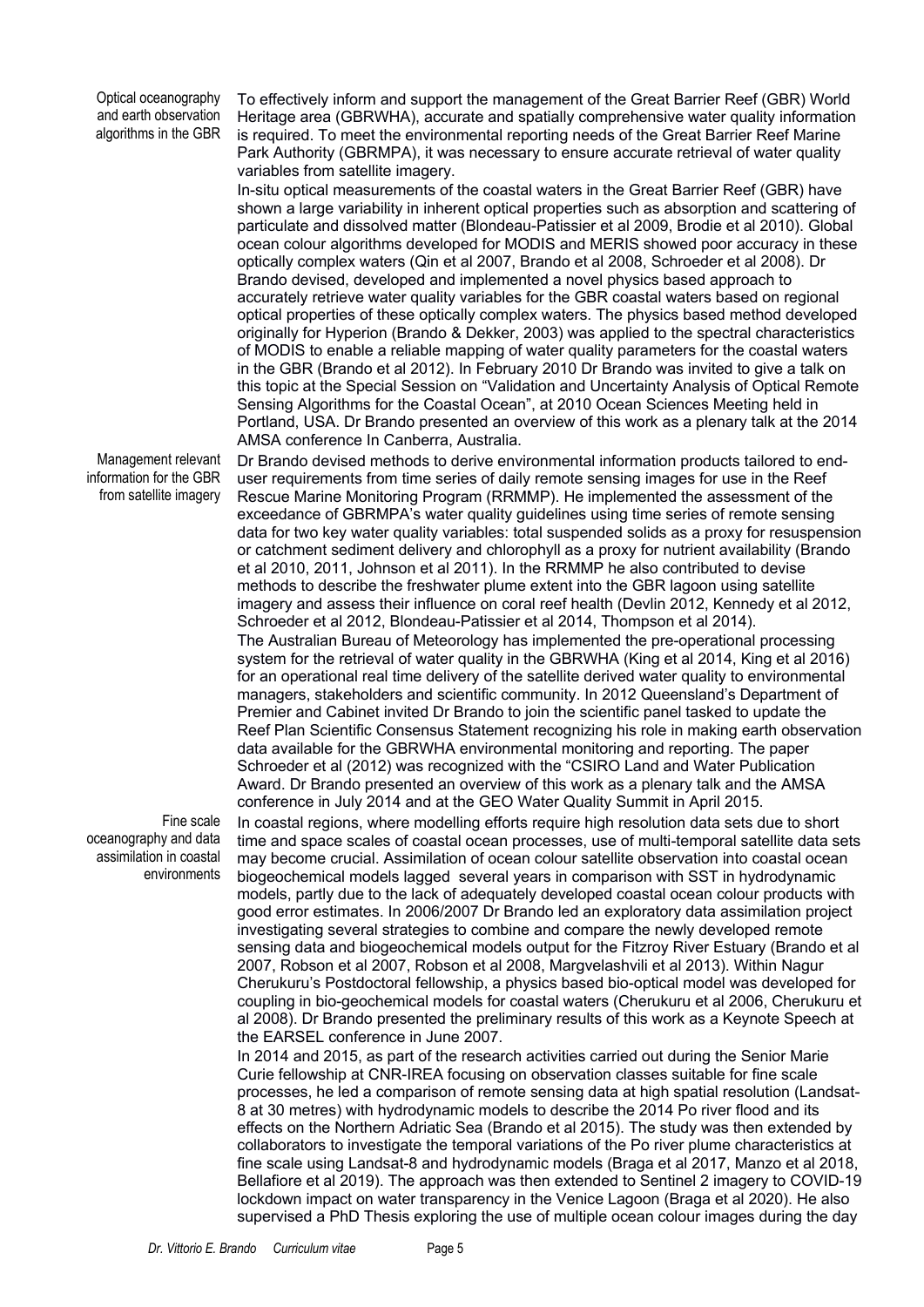Optical oceanography and earth observation algorithms in the GBR

To effectively inform and support the management of the Great Barrier Reef (GBR) World Heritage area (GBRWHA), accurate and spatially comprehensive water quality information is required. To meet the environmental reporting needs of the Great Barrier Reef Marine Park Authority (GBRMPA), it was necessary to ensure accurate retrieval of water quality variables from satellite imagery.

In-situ optical measurements of the coastal waters in the Great Barrier Reef (GBR) have shown a large variability in inherent optical properties such as absorption and scattering of particulate and dissolved matter (Blondeau-Patissier et al 2009, Brodie et al 2010). Global ocean colour algorithms developed for MODIS and MERIS showed poor accuracy in these optically complex waters (Qin et al 2007, Brando et al 2008, Schroeder et al 2008). Dr Brando devised, developed and implemented a novel physics based approach to accurately retrieve water quality variables for the GBR coastal waters based on regional optical properties of these optically complex waters. The physics based method developed originally for Hyperion (Brando & Dekker, 2003) was applied to the spectral characteristics of MODIS to enable a reliable mapping of water quality parameters for the coastal waters in the GBR (Brando et al 2012). In February 2010 Dr Brando was invited to give a talk on this topic at the Special Session on "Validation and Uncertainty Analysis of Optical Remote Sensing Algorithms for the Coastal Ocean", at 2010 Ocean Sciences Meeting held in Portland, USA. Dr Brando presented an overview of this work as a plenary talk at the 2014 AMSA conference In Canberra, Australia.

Management relevant information for the GBR from satellite imagery

Fine scale oceanography and data assimilation in coastal environments Dr Brando devised methods to derive environmental information products tailored to enduser requirements from time series of daily remote sensing images for use in the Reef Rescue Marine Monitoring Program (RRMMP). He implemented the assessment of the exceedance of GBRMPA's water quality guidelines using time series of remote sensing data for two key water quality variables: total suspended solids as a proxy for resuspension or catchment sediment delivery and chlorophyll as a proxy for nutrient availability (Brando et al 2010, 2011, Johnson et al 2011). In the RRMMP he also contributed to devise methods to describe the freshwater plume extent into the GBR lagoon using satellite imagery and assess their influence on coral reef health (Devlin 2012, Kennedy et al 2012, Schroeder et al 2012, Blondeau-Patissier et al 2014, Thompson et al 2014). The Australian Bureau of Meteorology has implemented the pre-operational processing system for the retrieval of water quality in the GBRWHA (King et al 2014, King et al 2016) for an operational real time delivery of the satellite derived water quality to environmental managers, stakeholders and scientific community. In 2012 Queensland's Department of Premier and Cabinet invited Dr Brando to join the scientific panel tasked to update the Reef Plan Scientific Consensus Statement recognizing his role in making earth observation data available for the GBRWHA environmental monitoring and reporting. The paper Schroeder et al (2012) was recognized with the "CSIRO Land and Water Publication Award. Dr Brando presented an overview of this work as a plenary talk and the AMSA conference in July 2014 and at the GEO Water Quality Summit in April 2015.

In coastal regions, where modelling efforts require high resolution data sets due to short time and space scales of coastal ocean processes, use of multi-temporal satellite data sets may become crucial. Assimilation of ocean colour satellite observation into coastal ocean biogeochemical models lagged several years in comparison with SST in hydrodynamic models, partly due to the lack of adequately developed coastal ocean colour products with good error estimates. In 2006/2007 Dr Brando led an exploratory data assimilation project investigating several strategies to combine and compare the newly developed remote sensing data and biogeochemical models output for the Fitzroy River Estuary (Brando et al 2007, Robson et al 2007, Robson et al 2008, Margvelashvili et al 2013). Within Nagur Cherukuru's Postdoctoral fellowship, a physics based bio-optical model was developed for coupling in bio-geochemical models for coastal waters (Cherukuru et al 2006, Cherukuru et al 2008). Dr Brando presented the preliminary results of this work as a Keynote Speech at the EARSEL conference in June 2007.

In 2014 and 2015, as part of the research activities carried out during the Senior Marie Curie fellowship at CNR-IREA focusing on observation classes suitable for fine scale processes, he led a comparison of remote sensing data at high spatial resolution (Landsat-8 at 30 metres) with hydrodynamic models to describe the 2014 Po river flood and its effects on the Northern Adriatic Sea (Brando et al 2015). The study was then extended by collaborators to investigate the temporal variations of the Po river plume characteristics at fine scale using Landsat-8 and hydrodynamic models (Braga et al 2017, Manzo et al 2018, Bellafiore et al 2019). The approach was then extended to Sentinel 2 imagery to COVID-19 lockdown impact on water transparency in the Venice Lagoon (Braga et al 2020). He also supervised a PhD Thesis exploring the use of multiple ocean colour images during the day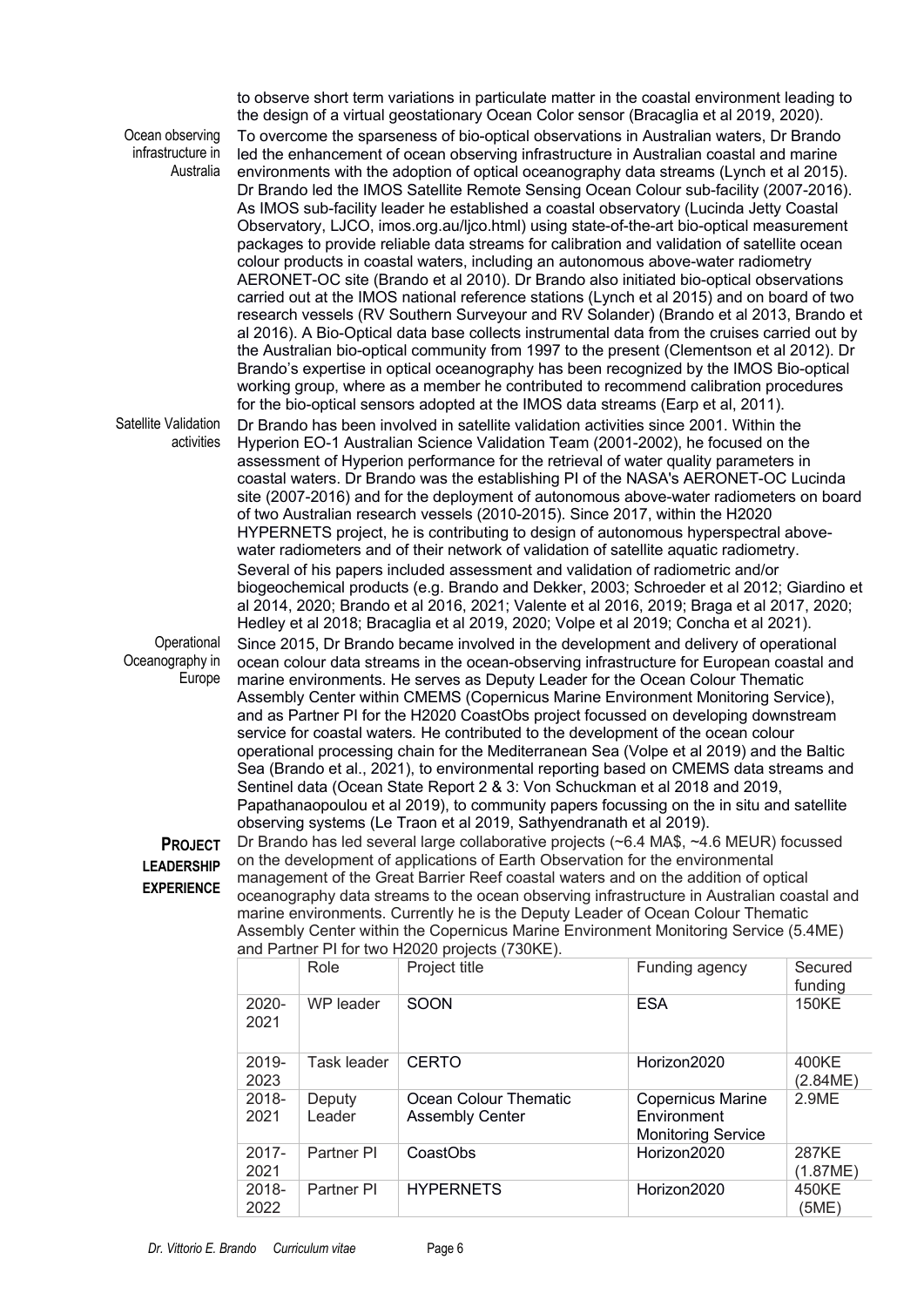| Ocean observing<br>infrastructure in<br>Australia                                                                                                                                                                                                                                                                                                                                                                                                                                                                                                                                                                                                  | to observe short term variations in particulate matter in the coastal environment leading to<br>the design of a virtual geostationary Ocean Color sensor (Bracaglia et al 2019, 2020).<br>To overcome the sparseness of bio-optical observations in Australian waters, Dr Brando<br>led the enhancement of ocean observing infrastructure in Australian coastal and marine<br>environments with the adoption of optical oceanography data streams (Lynch et al 2015).<br>Dr Brando led the IMOS Satellite Remote Sensing Ocean Colour sub-facility (2007-2016).<br>As IMOS sub-facility leader he established a coastal observatory (Lucinda Jetty Coastal<br>Observatory, LJCO, imos.org.au/ljco.html) using state-of-the-art bio-optical measurement<br>packages to provide reliable data streams for calibration and validation of satellite ocean<br>colour products in coastal waters, including an autonomous above-water radiometry<br>AERONET-OC site (Brando et al 2010). Dr Brando also initiated bio-optical observations<br>carried out at the IMOS national reference stations (Lynch et al 2015) and on board of two<br>research vessels (RV Southern Surveyour and RV Solander) (Brando et al 2013, Brando et<br>al 2016). A Bio-Optical data base collects instrumental data from the cruises carried out by<br>the Australian bio-optical community from 1997 to the present (Clementson et al 2012). Dr<br>Brando's expertise in optical oceanography has been recognized by the IMOS Bio-optical<br>working group, where as a member he contributed to recommend calibration procedures<br>for the bio-optical sensors adopted at the IMOS data streams (Earp et al, 2011). |                    |                                                 |                                                                      |                    |  |
|----------------------------------------------------------------------------------------------------------------------------------------------------------------------------------------------------------------------------------------------------------------------------------------------------------------------------------------------------------------------------------------------------------------------------------------------------------------------------------------------------------------------------------------------------------------------------------------------------------------------------------------------------|------------------------------------------------------------------------------------------------------------------------------------------------------------------------------------------------------------------------------------------------------------------------------------------------------------------------------------------------------------------------------------------------------------------------------------------------------------------------------------------------------------------------------------------------------------------------------------------------------------------------------------------------------------------------------------------------------------------------------------------------------------------------------------------------------------------------------------------------------------------------------------------------------------------------------------------------------------------------------------------------------------------------------------------------------------------------------------------------------------------------------------------------------------------------------------------------------------------------------------------------------------------------------------------------------------------------------------------------------------------------------------------------------------------------------------------------------------------------------------------------------------------------------------------------------------------------------------------------------------------------------------------------------------------------------------------------|--------------------|-------------------------------------------------|----------------------------------------------------------------------|--------------------|--|
| Satellite Validation<br>activities                                                                                                                                                                                                                                                                                                                                                                                                                                                                                                                                                                                                                 | Dr Brando has been involved in satellite validation activities since 2001. Within the<br>Hyperion EO-1 Australian Science Validation Team (2001-2002), he focused on the<br>assessment of Hyperion performance for the retrieval of water quality parameters in<br>coastal waters. Dr Brando was the establishing PI of the NASA's AERONET-OC Lucinda<br>site (2007-2016) and for the deployment of autonomous above-water radiometers on board<br>of two Australian research vessels (2010-2015). Since 2017, within the H2020<br>HYPERNETS project, he is contributing to design of autonomous hyperspectral above-<br>water radiometers and of their network of validation of satellite aquatic radiometry.<br>Several of his papers included assessment and validation of radiometric and/or<br>biogeochemical products (e.g. Brando and Dekker, 2003; Schroeder et al 2012; Giardino et<br>al 2014, 2020; Brando et al 2016, 2021; Valente et al 2016, 2019; Braga et al 2017, 2020;<br>Hedley et al 2018; Bracaglia et al 2019, 2020; Volpe et al 2019; Concha et al 2021).                                                                                                                                                                                                                                                                                                                                                                                                                                                                                                                                                                                                              |                    |                                                 |                                                                      |                    |  |
| Operational<br>Oceanography in<br>Europe                                                                                                                                                                                                                                                                                                                                                                                                                                                                                                                                                                                                           | Since 2015, Dr Brando became involved in the development and delivery of operational<br>ocean colour data streams in the ocean-observing infrastructure for European coastal and<br>marine environments. He serves as Deputy Leader for the Ocean Colour Thematic<br>Assembly Center within CMEMS (Copernicus Marine Environment Monitoring Service),<br>and as Partner PI for the H2020 CoastObs project focussed on developing downstream<br>service for coastal waters. He contributed to the development of the ocean colour<br>operational processing chain for the Mediterranean Sea (Volpe et al 2019) and the Baltic<br>Sea (Brando et al., 2021), to environmental reporting based on CMEMS data streams and<br>Sentinel data (Ocean State Report 2 & 3: Von Schuckman et al 2018 and 2019,<br>Papathanaopoulou et al 2019), to community papers focussing on the in situ and satellite<br>observing systems (Le Traon et al 2019, Sathyendranath et al 2019).                                                                                                                                                                                                                                                                                                                                                                                                                                                                                                                                                                                                                                                                                                                        |                    |                                                 |                                                                      |                    |  |
| Dr Brando has led several large collaborative projects (~6.4 MA\$, ~4.6 MEUR) focussed<br><b>PROJECT</b><br>on the development of applications of Earth Observation for the environmental<br><b>LEADERSHIP</b><br>management of the Great Barrier Reef coastal waters and on the addition of optical<br><b>EXPERIENCE</b><br>oceanography data streams to the ocean observing infrastructure in Australian coastal and<br>marine environments. Currently he is the Deputy Leader of Ocean Colour Thematic<br>Assembly Center within the Copernicus Marine Environment Monitoring Service (5.4ME)<br>and Partner PI for two H2020 projects (730KE). |                                                                                                                                                                                                                                                                                                                                                                                                                                                                                                                                                                                                                                                                                                                                                                                                                                                                                                                                                                                                                                                                                                                                                                                                                                                                                                                                                                                                                                                                                                                                                                                                                                                                                                |                    |                                                 |                                                                      |                    |  |
|                                                                                                                                                                                                                                                                                                                                                                                                                                                                                                                                                                                                                                                    |                                                                                                                                                                                                                                                                                                                                                                                                                                                                                                                                                                                                                                                                                                                                                                                                                                                                                                                                                                                                                                                                                                                                                                                                                                                                                                                                                                                                                                                                                                                                                                                                                                                                                                | Role               | Project title                                   | Funding agency                                                       | Secured<br>funding |  |
|                                                                                                                                                                                                                                                                                                                                                                                                                                                                                                                                                                                                                                                    | 2020-<br>2021                                                                                                                                                                                                                                                                                                                                                                                                                                                                                                                                                                                                                                                                                                                                                                                                                                                                                                                                                                                                                                                                                                                                                                                                                                                                                                                                                                                                                                                                                                                                                                                                                                                                                  | WP leader          | SOON                                            | <b>ESA</b>                                                           | <b>150KE</b>       |  |
|                                                                                                                                                                                                                                                                                                                                                                                                                                                                                                                                                                                                                                                    | 2019-<br>2023                                                                                                                                                                                                                                                                                                                                                                                                                                                                                                                                                                                                                                                                                                                                                                                                                                                                                                                                                                                                                                                                                                                                                                                                                                                                                                                                                                                                                                                                                                                                                                                                                                                                                  | <b>Task leader</b> | <b>CERTO</b>                                    | Horizon2020                                                          | 400KE<br>(2.84ME)  |  |
|                                                                                                                                                                                                                                                                                                                                                                                                                                                                                                                                                                                                                                                    | 2018-<br>2021                                                                                                                                                                                                                                                                                                                                                                                                                                                                                                                                                                                                                                                                                                                                                                                                                                                                                                                                                                                                                                                                                                                                                                                                                                                                                                                                                                                                                                                                                                                                                                                                                                                                                  | Deputy<br>Leader   | Ocean Colour Thematic<br><b>Assembly Center</b> | <b>Copernicus Marine</b><br>Environment<br><b>Monitoring Service</b> | 2.9ME              |  |
|                                                                                                                                                                                                                                                                                                                                                                                                                                                                                                                                                                                                                                                    | 2017-<br>2021                                                                                                                                                                                                                                                                                                                                                                                                                                                                                                                                                                                                                                                                                                                                                                                                                                                                                                                                                                                                                                                                                                                                                                                                                                                                                                                                                                                                                                                                                                                                                                                                                                                                                  | Partner PI         | CoastObs                                        | Horizon2020                                                          | 287KE<br>(1.87ME)  |  |
|                                                                                                                                                                                                                                                                                                                                                                                                                                                                                                                                                                                                                                                    | 2018-<br>2022                                                                                                                                                                                                                                                                                                                                                                                                                                                                                                                                                                                                                                                                                                                                                                                                                                                                                                                                                                                                                                                                                                                                                                                                                                                                                                                                                                                                                                                                                                                                                                                                                                                                                  | Partner PI         | <b>HYPERNETS</b>                                | Horizon2020                                                          | 450KE<br>(5ME)     |  |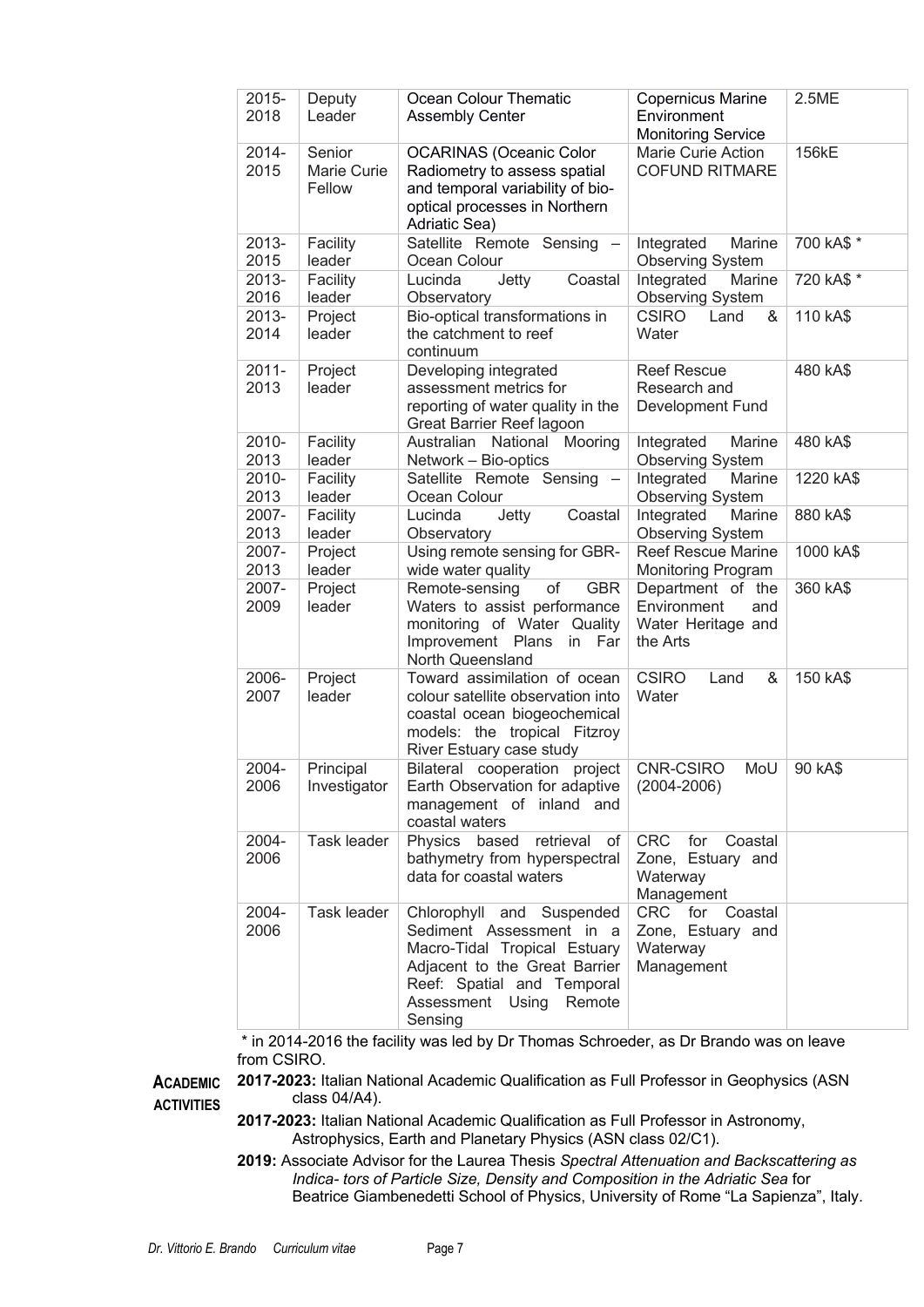| $2015 -$<br>2018 | Deputy<br>Leader                | Ocean Colour Thematic<br><b>Assembly Center</b>                                                                                                                                                  | <b>Copernicus Marine</b><br>Environment<br><b>Monitoring Service</b>      | 2.5ME      |
|------------------|---------------------------------|--------------------------------------------------------------------------------------------------------------------------------------------------------------------------------------------------|---------------------------------------------------------------------------|------------|
| 2014-<br>2015    | Senior<br>Marie Curie<br>Fellow | <b>OCARINAS (Oceanic Color</b><br>Radiometry to assess spatial<br>and temporal variability of bio-<br>optical processes in Northern<br>Adriatic Sea)                                             | Marie Curie Action<br><b>COFUND RITMARE</b>                               | 156kE      |
| 2013-<br>2015    | Facility<br>leader              | Satellite Remote Sensing<br>Ocean Colour                                                                                                                                                         | Integrated<br>Marine<br><b>Observing System</b>                           | 700 kA\$ * |
| 2013-<br>2016    | Facility<br>leader              | Lucinda<br>Jetty<br>Coastal<br>Observatory                                                                                                                                                       | Integrated<br>Marine<br><b>Observing System</b>                           | 720 kA\$ * |
| 2013-<br>2014    | Project<br>leader               | Bio-optical transformations in<br>the catchment to reef<br>continuum                                                                                                                             | <b>CSIRO</b><br>Land<br>&<br>Water                                        | 110 kA\$   |
| $2011 -$<br>2013 | Project<br>leader               | Developing integrated<br>assessment metrics for<br>reporting of water quality in the<br>Great Barrier Reef lagoon                                                                                | <b>Reef Rescue</b><br>Research and<br><b>Development Fund</b>             | 480 kA\$   |
| 2010-<br>2013    | Facility<br>leader              | Australian National<br>Mooring<br>Network - Bio-optics                                                                                                                                           | Marine<br>Integrated<br><b>Observing System</b>                           | 480 kA\$   |
| 2010-<br>2013    | Facility<br>leader              | Satellite Remote Sensing<br>Ocean Colour                                                                                                                                                         | Integrated<br>Marine<br><b>Observing System</b>                           | 1220 kA\$  |
| 2007-<br>2013    | Facility<br>leader              | Coastal<br>Lucinda<br>Jetty<br>Observatory                                                                                                                                                       | Integrated<br>Marine<br><b>Observing System</b>                           | 880 kA\$   |
| 2007-<br>2013    | Project<br>leader               | Using remote sensing for GBR-<br>wide water quality                                                                                                                                              | <b>Reef Rescue Marine</b><br>Monitoring Program                           | 1000 kA\$  |
| 2007-<br>2009    | Project<br>leader               | <b>GBR</b><br>Remote-sensing<br>of<br>Waters to assist performance<br>monitoring of Water Quality<br>Improvement Plans<br>in<br>Far<br>North Queensland                                          | Department of the<br>Environment<br>and<br>Water Heritage and<br>the Arts | 360 kA\$   |
| 2006-<br>2007    | Project<br>leader               | Toward assimilation of ocean<br>colour satellite observation into<br>coastal ocean biogeochemical<br>models: the tropical Fitzroy<br>River Estuary case study                                    | <b>CSIRO</b><br>Land<br>&<br>Water                                        | 150 kA\$   |
| 2004-<br>2006    | Principal<br>Investigator       | Bilateral cooperation project<br>Earth Observation for adaptive<br>management of inland and<br>coastal waters                                                                                    | CNR-CSIRO<br>MoU<br>$(2004 - 2006)$                                       | 90 kA\$    |
| 2004-<br>2006    | Task leader                     | Physics<br>based<br>retrieval<br>of<br>bathymetry from hyperspectral<br>data for coastal waters                                                                                                  | CRC<br>for<br>Coastal<br>Zone, Estuary and<br>Waterway<br>Management      |            |
| 2004-<br>2006    | Task leader                     | Chlorophyll and<br>Suspended<br>Sediment Assessment in a<br>Macro-Tidal Tropical Estuary<br>Adjacent to the Great Barrier<br>Reef: Spatial and Temporal<br>Assessment Using<br>Remote<br>Sensing | CRC<br>for<br>Coastal<br>Zone, Estuary and<br>Waterway<br>Management      |            |

\* in 2014-2016 the facility was led by Dr Thomas Schroeder, as Dr Brando was on leave from CSIRO.

**ACADEMIC ACTIVITIES 2017-2023:** Italian National Academic Qualification as Full Professor in Geophysics (ASN class 04/A4).

**2017-2023:** Italian National Academic Qualification as Full Professor in Astronomy, Astrophysics, Earth and Planetary Physics (ASN class 02/C1).

**2019:** Associate Advisor for the Laurea Thesis *Spectral Attenuation and Backscattering as Indica- tors of Particle Size, Density and Composition in the Adriatic Sea* for Beatrice Giambenedetti School of Physics, University of Rome "La Sapienza", Italy.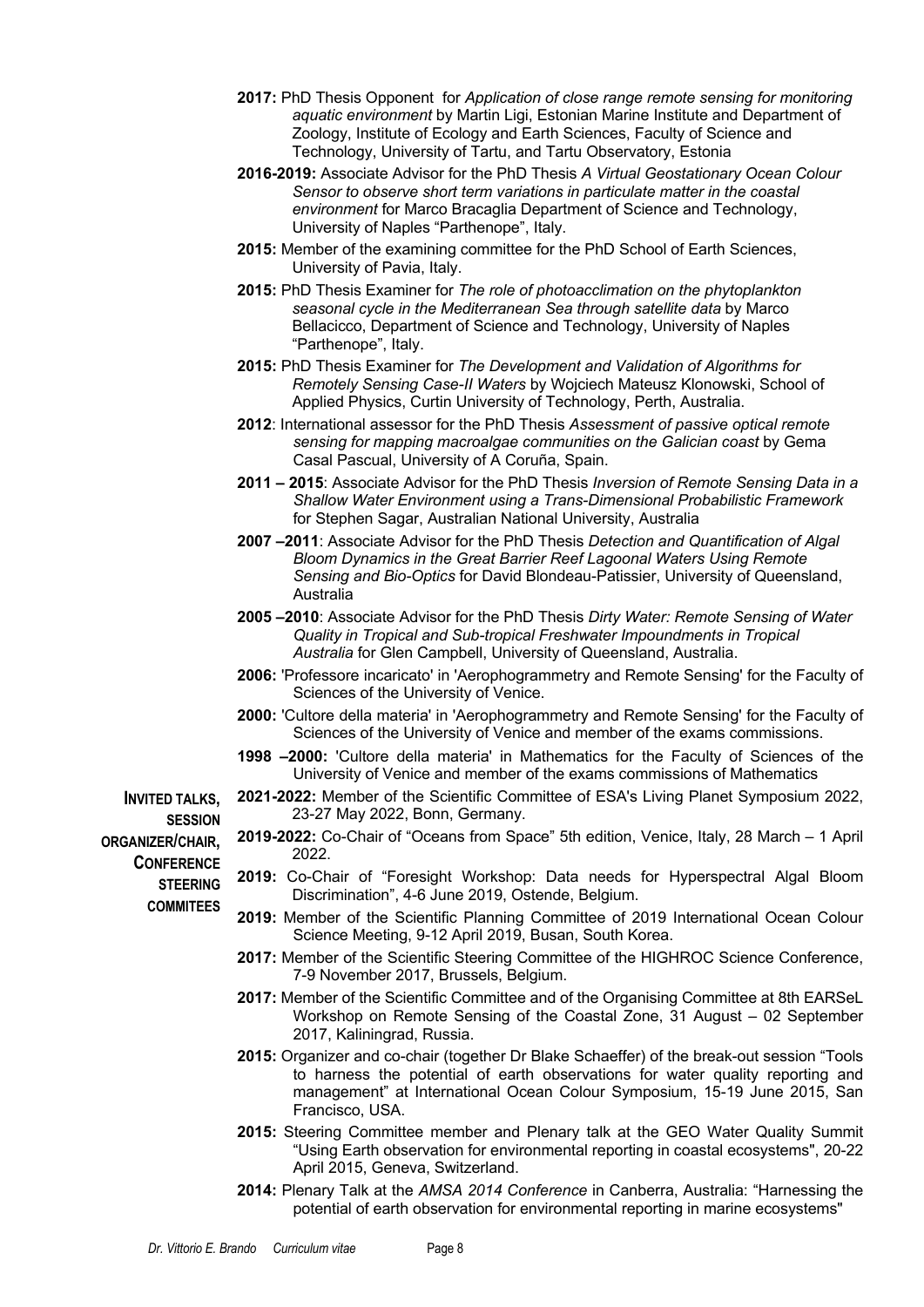- **2017:** PhD Thesis Opponent for *Application of close range remote sensing for monitoring aquatic environment* by Martin Ligi, Estonian Marine Institute and Department of Zoology, Institute of Ecology and Earth Sciences, Faculty of Science and Technology, University of Tartu, and Tartu Observatory, Estonia
- **2016-2019:** Associate Advisor for the PhD Thesis *A Virtual Geostationary Ocean Colour Sensor to observe short term variations in particulate matter in the coastal environment* for Marco Bracaglia Department of Science and Technology, University of Naples "Parthenope", Italy.
- **2015:** Member of the examining committee for the PhD School of Earth Sciences, University of Pavia, Italy.
- **2015:** PhD Thesis Examiner for *The role of photoacclimation on the phytoplankton seasonal cycle in the Mediterranean Sea through satellite data* by Marco Bellacicco, Department of Science and Technology, University of Naples "Parthenope", Italy.
- **2015:** PhD Thesis Examiner for *The Development and Validation of Algorithms for Remotely Sensing Case-II Waters* by Wojciech Mateusz Klonowski, School of Applied Physics, Curtin University of Technology, Perth, Australia.
- **2012**: International assessor for the PhD Thesis *Assessment of passive optical remote sensing for mapping macroalgae communities on the Galician coast* by Gema Casal Pascual, University of A Coruña, Spain.
- **2011 – 2015**: Associate Advisor for the PhD Thesis *Inversion of Remote Sensing Data in a Shallow Water Environment using a Trans-Dimensional Probabilistic Framework*  for Stephen Sagar, Australian National University, Australia
- **2007 –2011**: Associate Advisor for the PhD Thesis *Detection and Quantification of Algal Bloom Dynamics in the Great Barrier Reef Lagoonal Waters Using Remote Sensing and Bio-Optics* for David Blondeau-Patissier, University of Queensland, Australia
- **2005 –2010**: Associate Advisor for the PhD Thesis *Dirty Water: Remote Sensing of Water Quality in Tropical and Sub-tropical Freshwater Impoundments in Tropical Australia* for Glen Campbell, University of Queensland, Australia.
- **2006:** 'Professore incaricato' in 'Aerophogrammetry and Remote Sensing' for the Faculty of Sciences of the University of Venice.
- **2000:** 'Cultore della materia' in 'Aerophogrammetry and Remote Sensing' for the Faculty of Sciences of the University of Venice and member of the exams commissions.
- **1998 –2000:** 'Cultore della materia' in Mathematics for the Faculty of Sciences of the University of Venice and member of the exams commissions of Mathematics

**SESSION 2021-2022:** Member of the Scientific Committee of ESA's Living Planet Symposium 2022, 23-27 May 2022, Bonn, Germany. **2019-2022:** Co-Chair of "Oceans from Space" 5th edition, Venice, Italy, 28 March – 1 April 2022.

- **2019:** Co-Chair of "Foresight Workshop: Data needs for Hyperspectral Algal Bloom Discrimination", 4-6 June 2019, Ostende, Belgium.
- **2019:** Member of the Scientific Planning Committee of 2019 International Ocean Colour Science Meeting, 9-12 April 2019, Busan, South Korea.
- **2017:** Member of the Scientific Steering Committee of the HIGHROC Science Conference, 7-9 November 2017, Brussels, Belgium.
- **2017:** Member of the Scientific Committee and of the Organising Committee at 8th EARSeL Workshop on Remote Sensing of the Coastal Zone, 31 August – 02 September 2017, Kaliningrad, Russia.
- **2015:** Organizer and co-chair (together Dr Blake Schaeffer) of the break-out session "Tools to harness the potential of earth observations for water quality reporting and management" at International Ocean Colour Symposium, 15-19 June 2015, San Francisco, USA.
- **2015:** Steering Committee member and Plenary talk at the GEO Water Quality Summit "Using Earth observation for environmental reporting in coastal ecosystems", 20-22 April 2015, Geneva, Switzerland.
- **2014:** Plenary Talk at the *AMSA 2014 Conference* in Canberra, Australia: "Harnessing the potential of earth observation for environmental reporting in marine ecosystems"

**INVITED TALKS, ORGANIZER/CHAIR, CONFERENCE STEERING COMMITEES**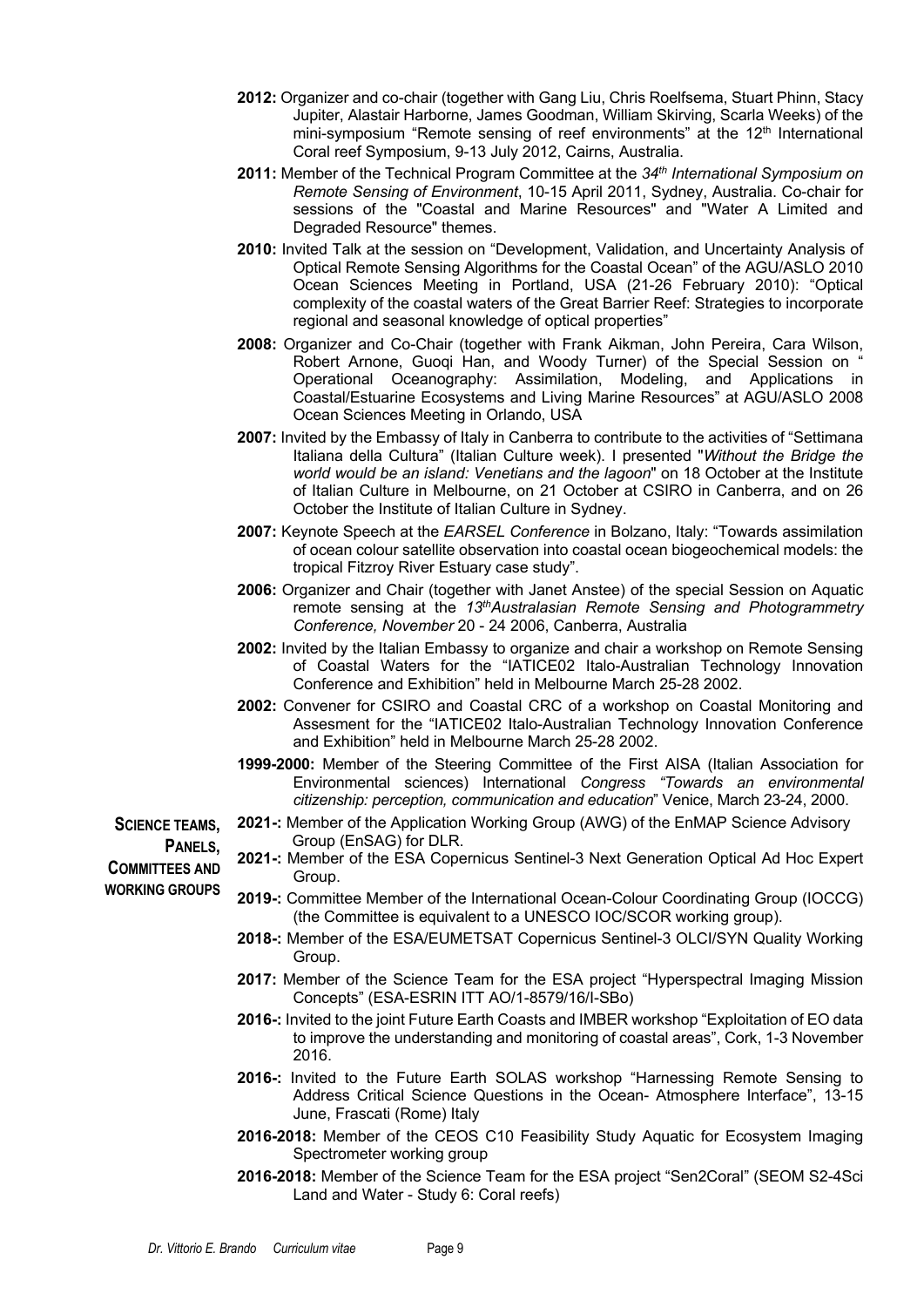- **2012:** Organizer and co-chair (together with Gang Liu, Chris Roelfsema, Stuart Phinn, Stacy Jupiter, Alastair Harborne, James Goodman, William Skirving, Scarla Weeks) of the mini-symposium "Remote sensing of reef environments" at the 12<sup>th</sup> International Coral reef Symposium, 9-13 July 2012, Cairns, Australia.
- **2011:** Member of the Technical Program Committee at the *34th International Symposium on Remote Sensing of Environment*, 10-15 April 2011, Sydney, Australia. Co-chair for sessions of the "Coastal and Marine Resources" and "Water A Limited and Degraded Resource" themes.
- **2010:** Invited Talk at the session on "Development, Validation, and Uncertainty Analysis of Optical Remote Sensing Algorithms for the Coastal Ocean" of the AGU/ASLO 2010 Ocean Sciences Meeting in Portland, USA (21-26 February 2010): "Optical complexity of the coastal waters of the Great Barrier Reef: Strategies to incorporate regional and seasonal knowledge of optical properties"
- **2008:** Organizer and Co-Chair (together with Frank Aikman, John Pereira, Cara Wilson, Robert Arnone, Guoqi Han, and Woody Turner) of the Special Session on " Operational Oceanography: Assimilation, Modeling, and Applications in Coastal/Estuarine Ecosystems and Living Marine Resources" at AGU/ASLO 2008 Ocean Sciences Meeting in Orlando, USA
- **2007:** Invited by the Embassy of Italy in Canberra to contribute to the activities of "Settimana Italiana della Cultura" (Italian Culture week). I presented "*Without the Bridge the world would be an island: Venetians and the lagoon*" on 18 October at the Institute of Italian Culture in Melbourne, on 21 October at CSIRO in Canberra, and on 26 October the Institute of Italian Culture in Sydney.
- **2007:** Keynote Speech at the *EARSEL Conference* in Bolzano, Italy: "Towards assimilation of ocean colour satellite observation into coastal ocean biogeochemical models: the tropical Fitzroy River Estuary case study".
- **2006:** Organizer and Chair (together with Janet Anstee) of the special Session on Aquatic remote sensing at the *13thAustralasian Remote Sensing and Photogrammetry Conference, November* 20 - 24 2006, Canberra, Australia
- **2002:** Invited by the Italian Embassy to organize and chair a workshop on Remote Sensing of Coastal Waters for the "IATICE02 Italo-Australian Technology Innovation Conference and Exhibition" held in Melbourne March 25-28 2002.
- **2002:** Convener for CSIRO and Coastal CRC of a workshop on Coastal Monitoring and Assesment for the "IATICE02 Italo-Australian Technology Innovation Conference and Exhibition" held in Melbourne March 25-28 2002.
- **1999-2000:** Member of the Steering Committee of the First AISA (Italian Association for Environmental sciences) International *Congress "Towards an environmental citizenship: perception, communication and education*" Venice, March 23-24, 2000.
- **SCIENCE TEAMS, PANELS, 2021-:** Member of the Application Working Group (AWG) of the EnMAP Science Advisory Group (EnSAG) for DLR.

**2021-:** Member of the ESA Copernicus Sentinel-3 Next Generation Optical Ad Hoc Expert Group.

- **2019-:** Committee Member of the International Ocean-Colour Coordinating Group (IOCCG) (the Committee is equivalent to a UNESCO IOC/SCOR working group).
- **2018-:** Member of the ESA/EUMETSAT Copernicus Sentinel-3 OLCI/SYN Quality Working Group.
- **2017:** Member of the Science Team for the ESA project "Hyperspectral Imaging Mission Concepts" (ESA-ESRIN ITT AO/1-8579/16/I-SBo)
- **2016-:** Invited to the joint Future Earth Coasts and IMBER workshop "Exploitation of EO data to improve the understanding and monitoring of coastal areas", Cork, 1-3 November 2016.
- **2016-:** Invited to the Future Earth SOLAS workshop "Harnessing Remote Sensing to Address Critical Science Questions in the Ocean- Atmosphere Interface", 13-15 June, Frascati (Rome) Italy
- **2016-2018:** Member of the CEOS C10 Feasibility Study Aquatic for Ecosystem Imaging Spectrometer working group
- **2016-2018:** Member of the Science Team for the ESA project "Sen2Coral" (SEOM S2-4Sci Land and Water - Study 6: Coral reefs)

**COMMITTEES AND WORKING GROUPS**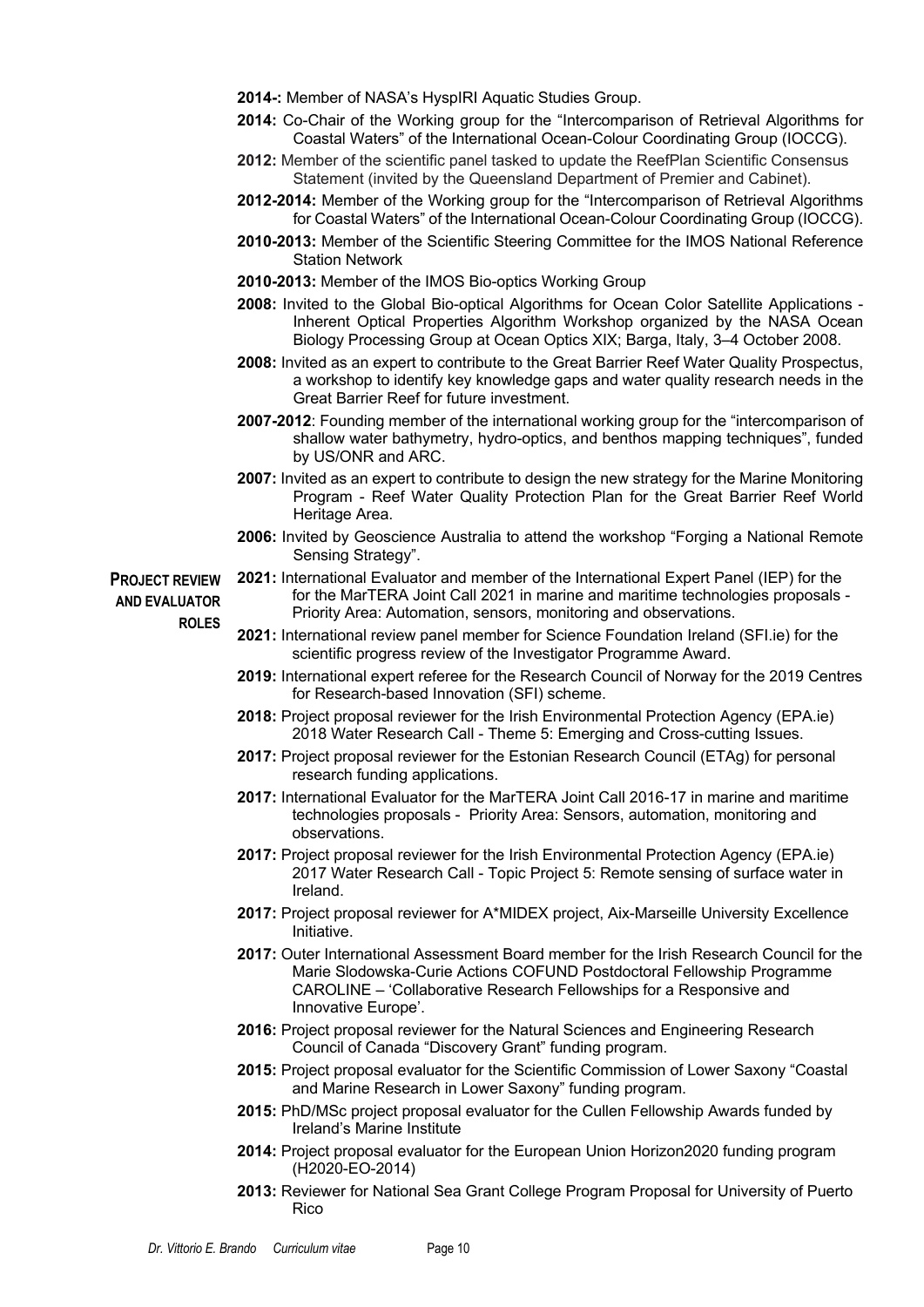- **2014-:** Member of NASA's HyspIRI Aquatic Studies Group.
- **2014:** Co-Chair of the Working group for the "Intercomparison of Retrieval Algorithms for Coastal Waters" of the International Ocean-Colour Coordinating Group (IOCCG).
- **2012:** Member of the scientific panel tasked to update the ReefPlan Scientific Consensus Statement (invited by the Queensland Department of Premier and Cabinet).
- **2012-2014:** Member of the Working group for the "Intercomparison of Retrieval Algorithms for Coastal Waters" of the International Ocean-Colour Coordinating Group (IOCCG).
- **2010-2013:** Member of the Scientific Steering Committee for the IMOS National Reference Station Network
- **2010-2013:** Member of the IMOS Bio-optics Working Group
- **2008:** Invited to the Global Bio-optical Algorithms for Ocean Color Satellite Applications Inherent Optical Properties Algorithm Workshop organized by the NASA Ocean Biology Processing Group at Ocean Optics XIX; Barga, Italy, 3–4 October 2008.
- **2008:** Invited as an expert to contribute to the Great Barrier Reef Water Quality Prospectus, a workshop to identify key knowledge gaps and water quality research needs in the Great Barrier Reef for future investment.
- **2007-2012**: Founding member of the international working group for the "intercomparison of shallow water bathymetry, hydro-optics, and benthos mapping techniques", funded by US/ONR and ARC.
- **2007:** Invited as an expert to contribute to design the new strategy for the Marine Monitoring Program - Reef Water Quality Protection Plan for the Great Barrier Reef World Heritage Area.
- **2006:** Invited by Geoscience Australia to attend the workshop "Forging a National Remote Sensing Strategy".

**PROJECT REVIEW AND EVALUATOR ROLES**

- **2021:** International Evaluator and member of the International Expert Panel (IEP) for the for the MarTERA Joint Call 2021 in marine and maritime technologies proposals - Priority Area: Automation, sensors, monitoring and observations.
- **2021:** International review panel member for Science Foundation Ireland (SFI.ie) for the scientific progress review of the Investigator Programme Award.
- **2019:** International expert referee for the Research Council of Norway for the 2019 Centres for Research-based Innovation (SFI) scheme.
- **2018:** Project proposal reviewer for the Irish Environmental Protection Agency (EPA.ie) 2018 Water Research Call - Theme 5: Emerging and Cross-cutting Issues.
- **2017:** Project proposal reviewer for the Estonian Research Council (ETAg) for personal research funding applications.
- **2017:** International Evaluator for the MarTERA Joint Call 2016-17 in marine and maritime technologies proposals - Priority Area: Sensors, automation, monitoring and observations.
- **2017:** Project proposal reviewer for the Irish Environmental Protection Agency (EPA.ie) 2017 Water Research Call - Topic Project 5: Remote sensing of surface water in Ireland.
- **2017:** Project proposal reviewer for A\*MIDEX project, Aix-Marseille University Excellence Initiative.
- **2017:** Outer International Assessment Board member for the Irish Research Council for the Marie Slodowska-Curie Actions COFUND Postdoctoral Fellowship Programme CAROLINE – 'Collaborative Research Fellowships for a Responsive and Innovative Europe'.
- **2016:** Project proposal reviewer for the Natural Sciences and Engineering Research Council of Canada "Discovery Grant" funding program.
- **2015:** Project proposal evaluator for the Scientific Commission of Lower Saxony "Coastal and Marine Research in Lower Saxony" funding program.
- **2015:** PhD/MSc project proposal evaluator for the Cullen Fellowship Awards funded by Ireland's Marine Institute
- **2014:** Project proposal evaluator for the European Union Horizon2020 funding program (H2020-EO-2014)
- **2013:** Reviewer for National Sea Grant College Program Proposal for University of Puerto Rico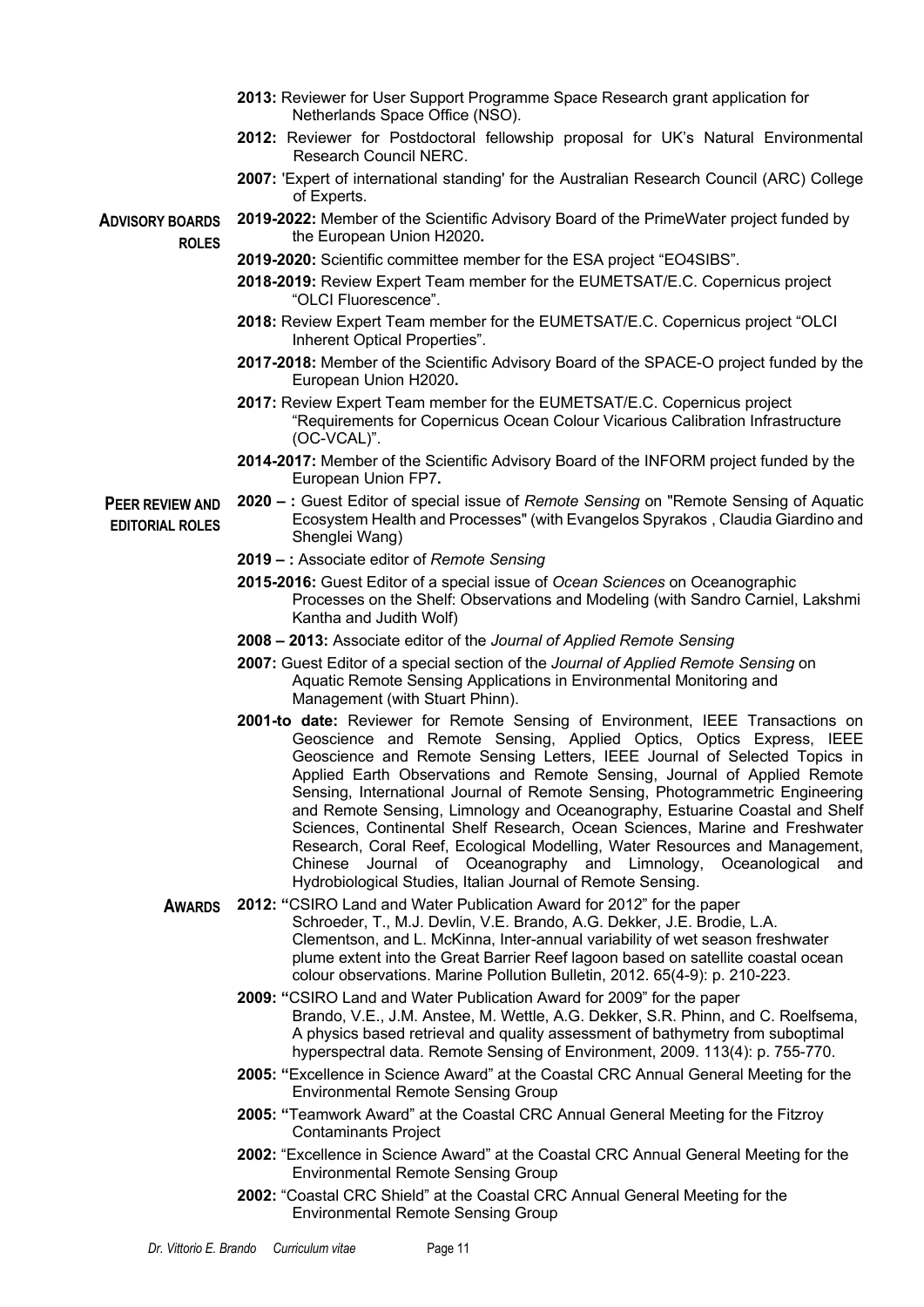- **2013:** Reviewer for User Support Programme Space Research grant application for Netherlands Space Office (NSO).
- **2012:** Reviewer for Postdoctoral fellowship proposal for UK's Natural Environmental Research Council NERC.
- **2007:** 'Expert of international standing' for the Australian Research Council (ARC) College of Experts.

**2019-2022:** Member of the Scientific Advisory Board of the PrimeWater project funded by

**ADVISORY BOARDS ROLES**

- **2019-2020:** Scientific committee member for the ESA project "EO4SIBS".
- **2018-2019:** Review Expert Team member for the EUMETSAT/E.C. Copernicus project "OLCI Fluorescence".
- **2018:** Review Expert Team member for the EUMETSAT/E.C. Copernicus project "OLCI Inherent Optical Properties".
- **2017-2018:** Member of the Scientific Advisory Board of the SPACE-O project funded by the European Union H2020**.**
- **2017:** Review Expert Team member for the EUMETSAT/E.C. Copernicus project "Requirements for Copernicus Ocean Colour Vicarious Calibration Infrastructure (OC-VCAL)".
- **2014-2017:** Member of the Scientific Advisory Board of the INFORM project funded by the European Union FP7**.**
- **PEER REVIEW AND EDITORIAL ROLES 2020 – :** Guest Editor of special issue of *Remote Sensing* on "Remote Sensing of Aquatic Ecosystem Health and Processes" (with Evangelos Spyrakos , Claudia Giardino and Shenglei Wang)
	- **2019 – :** Associate editor of *Remote Sensing*

the European Union H2020**.**

- **2015-2016:** Guest Editor of a special issue of *Ocean Sciences* on Oceanographic Processes on the Shelf: Observations and Modeling (with Sandro Carniel, Lakshmi Kantha and Judith Wolf)
- **2008 – 2013:** Associate editor of the *Journal of Applied Remote Sensing*
- **2007:** Guest Editor of a special section of the *Journal of Applied Remote Sensing* on Aquatic Remote Sensing Applications in Environmental Monitoring and Management (with Stuart Phinn).
- **2001-to date:** Reviewer for Remote Sensing of Environment, IEEE Transactions on Geoscience and Remote Sensing, Applied Optics, Optics Express, IEEE Geoscience and Remote Sensing Letters, IEEE Journal of Selected Topics in Applied Earth Observations and Remote Sensing, Journal of Applied Remote Sensing, International Journal of Remote Sensing, Photogrammetric Engineering and Remote Sensing, Limnology and Oceanography, Estuarine Coastal and Shelf Sciences, Continental Shelf Research, Ocean Sciences, Marine and Freshwater Research, Coral Reef, Ecological Modelling, Water Resources and Management, Chinese Journal of Oceanography and Limnology, Oceanological and Hydrobiological Studies, Italian Journal of Remote Sensing.
- **AWARDS 2012: "**CSIRO Land and Water Publication Award for 2012" for the paper Schroeder, T., M.J. Devlin, V.E. Brando, A.G. Dekker, J.E. Brodie, L.A. Clementson, and L. McKinna, Inter-annual variability of wet season freshwater plume extent into the Great Barrier Reef lagoon based on satellite coastal ocean colour observations. Marine Pollution Bulletin, 2012. 65(4-9): p. 210-223.
	- **2009: "**CSIRO Land and Water Publication Award for 2009" for the paper Brando, V.E., J.M. Anstee, M. Wettle, A.G. Dekker, S.R. Phinn, and C. Roelfsema, A physics based retrieval and quality assessment of bathymetry from suboptimal hyperspectral data. Remote Sensing of Environment, 2009. 113(4): p. 755-770.
	- **2005: "**Excellence in Science Award" at the Coastal CRC Annual General Meeting for the Environmental Remote Sensing Group
	- **2005: "**Teamwork Award" at the Coastal CRC Annual General Meeting for the Fitzroy Contaminants Project
	- **2002:** "Excellence in Science Award" at the Coastal CRC Annual General Meeting for the Environmental Remote Sensing Group
	- **2002:** "Coastal CRC Shield" at the Coastal CRC Annual General Meeting for the Environmental Remote Sensing Group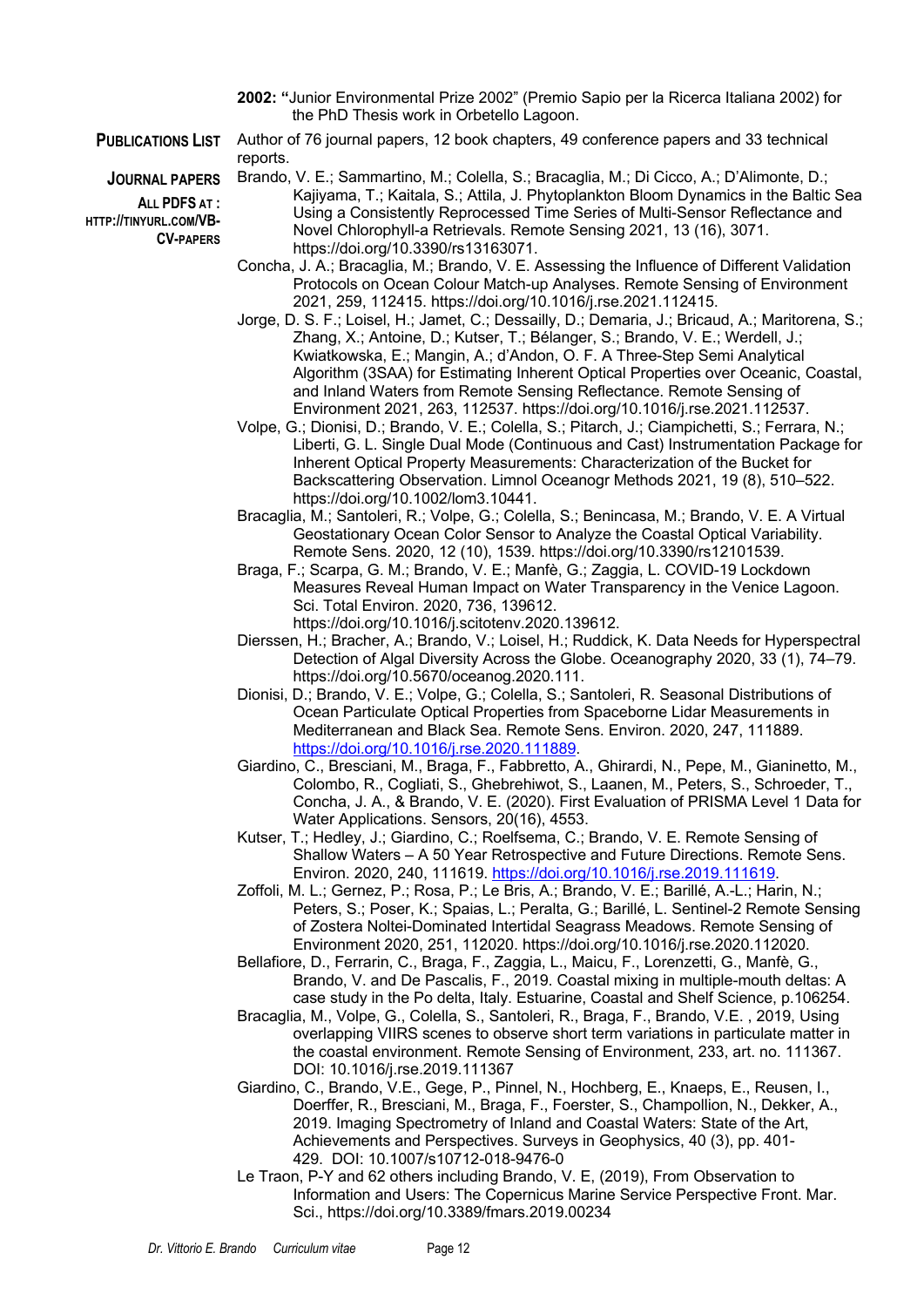- **2002: "**Junior Environmental Prize 2002" (Premio Sapio per la Ricerca Italiana 2002) for the PhD Thesis work in Orbetello Lagoon.
- 

**JOURNAL PAPERS**

**ALL PDFS AT : HTTP://TINYURL.COM/VB-CV-PAPERS**

**PUBLICATIONS LIST** Author of 76 journal papers, 12 book chapters, 49 conference papers and 33 technical reports.

> Brando, V. E.; Sammartino, M.; Colella, S.; Bracaglia, M.; Di Cicco, A.; D'Alimonte, D.; Kajiyama, T.; Kaitala, S.; Attila, J. Phytoplankton Bloom Dynamics in the Baltic Sea Using a Consistently Reprocessed Time Series of Multi-Sensor Reflectance and Novel Chlorophyll-a Retrievals. Remote Sensing 2021, 13 (16), 3071. https://doi.org/10.3390/rs13163071.

- Concha, J. A.; Bracaglia, M.; Brando, V. E. Assessing the Influence of Different Validation Protocols on Ocean Colour Match-up Analyses. Remote Sensing of Environment 2021, 259, 112415. https://doi.org/10.1016/j.rse.2021.112415.
- Jorge, D. S. F.; Loisel, H.; Jamet, C.; Dessailly, D.; Demaria, J.; Bricaud, A.; Maritorena, S.; Zhang, X.; Antoine, D.; Kutser, T.; Bélanger, S.; Brando, V. E.; Werdell, J.; Kwiatkowska, E.; Mangin, A.; d'Andon, O. F. A Three-Step Semi Analytical Algorithm (3SAA) for Estimating Inherent Optical Properties over Oceanic, Coastal, and Inland Waters from Remote Sensing Reflectance. Remote Sensing of Environment 2021, 263, 112537. https://doi.org/10.1016/j.rse.2021.112537.
- Volpe, G.; Dionisi, D.; Brando, V. E.; Colella, S.; Pitarch, J.; Ciampichetti, S.; Ferrara, N.; Liberti, G. L. Single Dual Mode (Continuous and Cast) Instrumentation Package for Inherent Optical Property Measurements: Characterization of the Bucket for Backscattering Observation. Limnol Oceanogr Methods 2021, 19 (8), 510–522. https://doi.org/10.1002/lom3.10441.
- Bracaglia, M.; Santoleri, R.; Volpe, G.; Colella, S.; Benincasa, M.; Brando, V. E. A Virtual Geostationary Ocean Color Sensor to Analyze the Coastal Optical Variability. Remote Sens. 2020, 12 (10), 1539. https://doi.org/10.3390/rs12101539.
- Braga, F.; Scarpa, G. M.; Brando, V. E.; Manfè, G.; Zaggia, L. COVID-19 Lockdown Measures Reveal Human Impact on Water Transparency in the Venice Lagoon. Sci. Total Environ. 2020, 736, 139612. https://doi.org/10.1016/j.scitotenv.2020.139612.
- Dierssen, H.; Bracher, A.; Brando, V.; Loisel, H.; Ruddick, K. Data Needs for Hyperspectral Detection of Algal Diversity Across the Globe. Oceanography 2020, 33 (1), 74–79. https://doi.org/10.5670/oceanog.2020.111.
- Dionisi, D.; Brando, V. E.; Volpe, G.; Colella, S.; Santoleri, R. Seasonal Distributions of Ocean Particulate Optical Properties from Spaceborne Lidar Measurements in Mediterranean and Black Sea. Remote Sens. Environ. 2020, 247, 111889. https://doi.org/10.1016/j.rse.2020.111889.
- Giardino, C., Bresciani, M., Braga, F., Fabbretto, A., Ghirardi, N., Pepe, M., Gianinetto, M., Colombo, R., Cogliati, S., Ghebrehiwot, S., Laanen, M., Peters, S., Schroeder, T., Concha, J. A., & Brando, V. E. (2020). First Evaluation of PRISMA Level 1 Data for Water Applications. Sensors, 20(16), 4553.
- Kutser, T.; Hedley, J.; Giardino, C.; Roelfsema, C.; Brando, V. E. Remote Sensing of Shallow Waters – A 50 Year Retrospective and Future Directions. Remote Sens. Environ. 2020, 240, 111619. https://doi.org/10.1016/j.rse.2019.111619.
- Zoffoli, M. L.; Gernez, P.; Rosa, P.; Le Bris, A.; Brando, V. E.; Barillé, A.-L.; Harin, N.; Peters, S.; Poser, K.; Spaias, L.; Peralta, G.; Barillé, L. Sentinel-2 Remote Sensing of Zostera Noltei-Dominated Intertidal Seagrass Meadows. Remote Sensing of Environment 2020, 251, 112020. https://doi.org/10.1016/j.rse.2020.112020.
- Bellafiore, D., Ferrarin, C., Braga, F., Zaggia, L., Maicu, F., Lorenzetti, G., Manfè, G., Brando, V. and De Pascalis, F., 2019. Coastal mixing in multiple-mouth deltas: A case study in the Po delta, Italy. Estuarine, Coastal and Shelf Science, p.106254.
- Bracaglia, M., Volpe, G., Colella, S., Santoleri, R., Braga, F., Brando, V.E. , 2019, Using overlapping VIIRS scenes to observe short term variations in particulate matter in the coastal environment. Remote Sensing of Environment, 233, art. no. 111367. DOI: 10.1016/j.rse.2019.111367
- Giardino, C., Brando, V.E., Gege, P., Pinnel, N., Hochberg, E., Knaeps, E., Reusen, I., Doerffer, R., Bresciani, M., Braga, F., Foerster, S., Champollion, N., Dekker, A., 2019. Imaging Spectrometry of Inland and Coastal Waters: State of the Art, Achievements and Perspectives. Surveys in Geophysics, 40 (3), pp. 401- 429. DOI: 10.1007/s10712-018-9476-0
- Le Traon, P-Y and 62 others including Brando, V. E, (2019), From Observation to Information and Users: The Copernicus Marine Service Perspective Front. Mar. Sci., https://doi.org/10.3389/fmars.2019.00234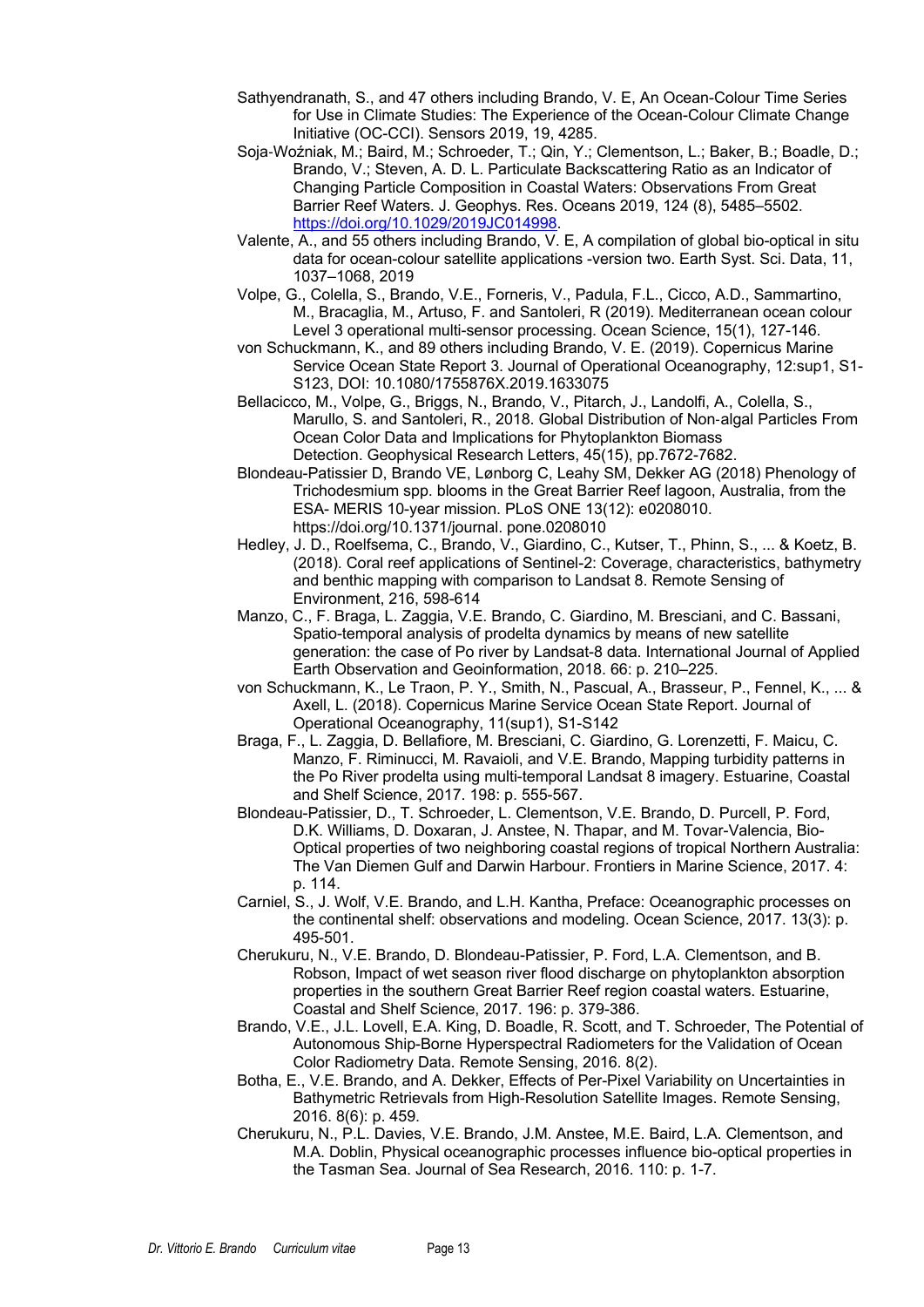- Sathyendranath, S., and 47 others including Brando, V. E, An Ocean-Colour Time Series for Use in Climate Studies: The Experience of the Ocean-Colour Climate Change Initiative (OC-CCI). Sensors 2019, 19, 4285.
- Soja-Woźniak, M.; Baird, M.; Schroeder, T.; Qin, Y.; Clementson, L.; Baker, B.; Boadle, D.; Brando, V.; Steven, A. D. L. Particulate Backscattering Ratio as an Indicator of Changing Particle Composition in Coastal Waters: Observations From Great Barrier Reef Waters. J. Geophys. Res. Oceans 2019, 124 (8), 5485–5502. https://doi.org/10.1029/2019JC014998.
- Valente, A., and 55 others including Brando, V. E, A compilation of global bio-optical in situ data for ocean-colour satellite applications -version two. Earth Syst. Sci. Data, 11, 1037–1068, 2019
- Volpe, G., Colella, S., Brando, V.E., Forneris, V., Padula, F.L., Cicco, A.D., Sammartino, M., Bracaglia, M., Artuso, F. and Santoleri, R (2019). Mediterranean ocean colour Level 3 operational multi-sensor processing. Ocean Science, 15(1), 127-146.
- von Schuckmann, K., and 89 others including Brando, V. E. (2019). Copernicus Marine Service Ocean State Report 3. Journal of Operational Oceanography, 12:sup1, S1- S123, DOI: 10.1080/1755876X.2019.1633075
- Bellacicco, M., Volpe, G., Briggs, N., Brando, V., Pitarch, J., Landolfi, A., Colella, S., Marullo, S. and Santoleri, R., 2018. Global Distribution of Non-algal Particles From Ocean Color Data and Implications for Phytoplankton Biomass Detection. Geophysical Research Letters, 45(15), pp.7672-7682.
- Blondeau-Patissier D, Brando VE, Lønborg C, Leahy SM, Dekker AG (2018) Phenology of Trichodesmium spp. blooms in the Great Barrier Reef lagoon, Australia, from the ESA- MERIS 10-year mission. PLoS ONE 13(12): e0208010. https://doi.org/10.1371/journal. pone.0208010
- Hedley, J. D., Roelfsema, C., Brando, V., Giardino, C., Kutser, T., Phinn, S., ... & Koetz, B. (2018). Coral reef applications of Sentinel-2: Coverage, characteristics, bathymetry and benthic mapping with comparison to Landsat 8. Remote Sensing of Environment, 216, 598-614
- Manzo, C., F. Braga, L. Zaggia, V.E. Brando, C. Giardino, M. Bresciani, and C. Bassani, Spatio-temporal analysis of prodelta dynamics by means of new satellite generation: the case of Po river by Landsat-8 data. International Journal of Applied Earth Observation and Geoinformation, 2018. 66: p. 210–225.
- von Schuckmann, K., Le Traon, P. Y., Smith, N., Pascual, A., Brasseur, P., Fennel, K., ... & Axell, L. (2018). Copernicus Marine Service Ocean State Report. Journal of Operational Oceanography, 11(sup1), S1-S142
- Braga, F., L. Zaggia, D. Bellafiore, M. Bresciani, C. Giardino, G. Lorenzetti, F. Maicu, C. Manzo, F. Riminucci, M. Ravaioli, and V.E. Brando, Mapping turbidity patterns in the Po River prodelta using multi-temporal Landsat 8 imagery. Estuarine, Coastal and Shelf Science, 2017. 198: p. 555-567.
- Blondeau-Patissier, D., T. Schroeder, L. Clementson, V.E. Brando, D. Purcell, P. Ford, D.K. Williams, D. Doxaran, J. Anstee, N. Thapar, and M. Tovar-Valencia, Bio-Optical properties of two neighboring coastal regions of tropical Northern Australia: The Van Diemen Gulf and Darwin Harbour. Frontiers in Marine Science, 2017. 4: p. 114.
- Carniel, S., J. Wolf, V.E. Brando, and L.H. Kantha, Preface: Oceanographic processes on the continental shelf: observations and modeling. Ocean Science, 2017. 13(3): p. 495-501.
- Cherukuru, N., V.E. Brando, D. Blondeau-Patissier, P. Ford, L.A. Clementson, and B. Robson, Impact of wet season river flood discharge on phytoplankton absorption properties in the southern Great Barrier Reef region coastal waters. Estuarine, Coastal and Shelf Science, 2017. 196: p. 379-386.
- Brando, V.E., J.L. Lovell, E.A. King, D. Boadle, R. Scott, and T. Schroeder, The Potential of Autonomous Ship-Borne Hyperspectral Radiometers for the Validation of Ocean Color Radiometry Data. Remote Sensing, 2016. 8(2).
- Botha, E., V.E. Brando, and A. Dekker, Effects of Per-Pixel Variability on Uncertainties in Bathymetric Retrievals from High-Resolution Satellite Images. Remote Sensing, 2016. 8(6): p. 459.
- Cherukuru, N., P.L. Davies, V.E. Brando, J.M. Anstee, M.E. Baird, L.A. Clementson, and M.A. Doblin, Physical oceanographic processes influence bio-optical properties in the Tasman Sea. Journal of Sea Research, 2016. 110: p. 1-7.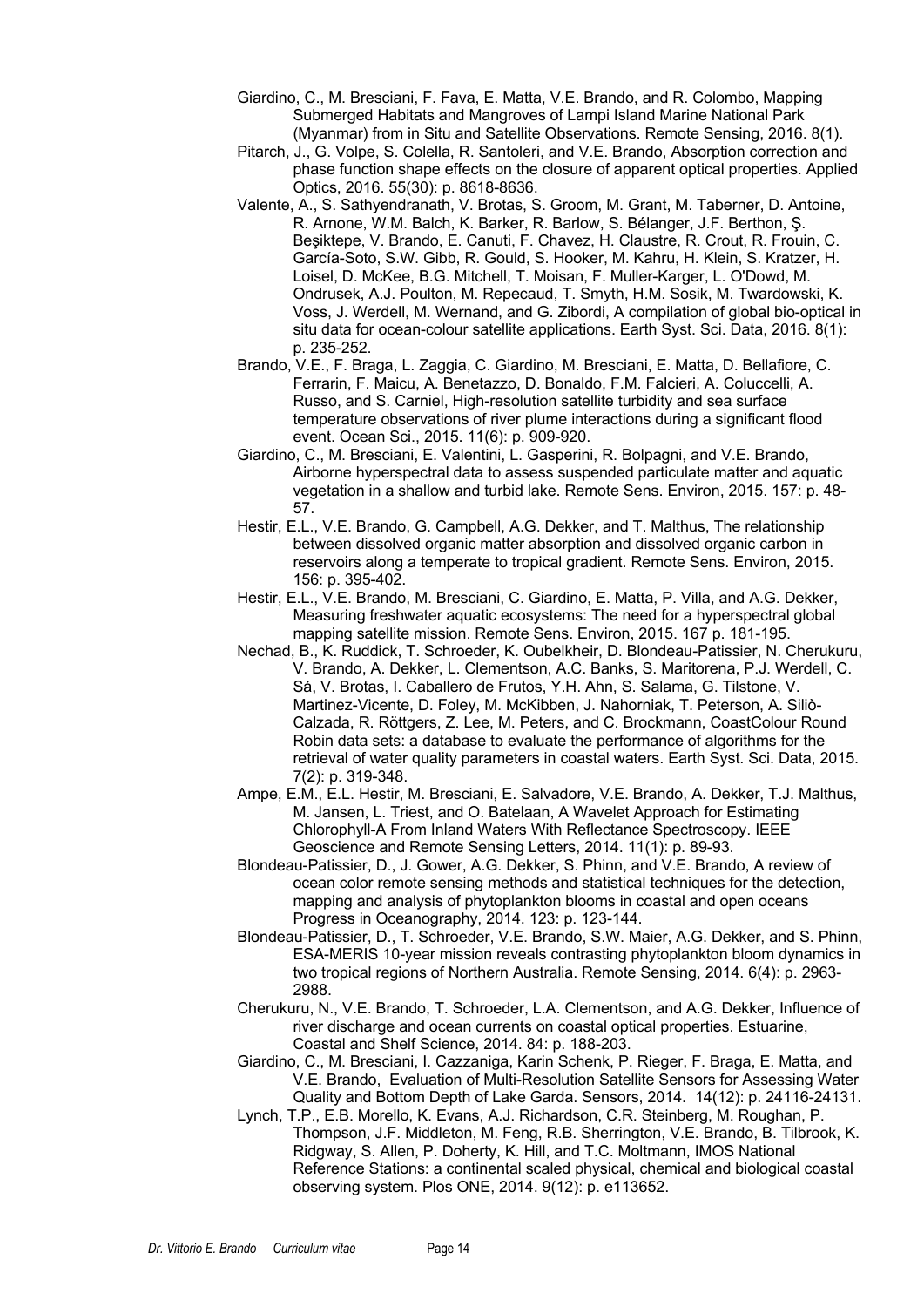- Giardino, C., M. Bresciani, F. Fava, E. Matta, V.E. Brando, and R. Colombo, Mapping Submerged Habitats and Mangroves of Lampi Island Marine National Park (Myanmar) from in Situ and Satellite Observations. Remote Sensing, 2016. 8(1).
- Pitarch, J., G. Volpe, S. Colella, R. Santoleri, and V.E. Brando, Absorption correction and phase function shape effects on the closure of apparent optical properties. Applied Optics, 2016. 55(30): p. 8618-8636.
- Valente, A., S. Sathyendranath, V. Brotas, S. Groom, M. Grant, M. Taberner, D. Antoine, R. Arnone, W.M. Balch, K. Barker, R. Barlow, S. Bélanger, J.F. Berthon, Ş. Beşiktepe, V. Brando, E. Canuti, F. Chavez, H. Claustre, R. Crout, R. Frouin, C. García-Soto, S.W. Gibb, R. Gould, S. Hooker, M. Kahru, H. Klein, S. Kratzer, H. Loisel, D. McKee, B.G. Mitchell, T. Moisan, F. Muller-Karger, L. O'Dowd, M. Ondrusek, A.J. Poulton, M. Repecaud, T. Smyth, H.M. Sosik, M. Twardowski, K. Voss, J. Werdell, M. Wernand, and G. Zibordi, A compilation of global bio-optical in situ data for ocean-colour satellite applications. Earth Syst. Sci. Data, 2016. 8(1): p. 235-252.
- Brando, V.E., F. Braga, L. Zaggia, C. Giardino, M. Bresciani, E. Matta, D. Bellafiore, C. Ferrarin, F. Maicu, A. Benetazzo, D. Bonaldo, F.M. Falcieri, A. Coluccelli, A. Russo, and S. Carniel, High-resolution satellite turbidity and sea surface temperature observations of river plume interactions during a significant flood event. Ocean Sci., 2015. 11(6): p. 909-920.
- Giardino, C., M. Bresciani, E. Valentini, L. Gasperini, R. Bolpagni, and V.E. Brando, Airborne hyperspectral data to assess suspended particulate matter and aquatic vegetation in a shallow and turbid lake. Remote Sens. Environ, 2015. 157: p. 48- 57.
- Hestir, E.L., V.E. Brando, G. Campbell, A.G. Dekker, and T. Malthus, The relationship between dissolved organic matter absorption and dissolved organic carbon in reservoirs along a temperate to tropical gradient. Remote Sens. Environ, 2015. 156: p. 395-402.
- Hestir, E.L., V.E. Brando, M. Bresciani, C. Giardino, E. Matta, P. Villa, and A.G. Dekker, Measuring freshwater aquatic ecosystems: The need for a hyperspectral global mapping satellite mission. Remote Sens. Environ, 2015. 167 p. 181-195.
- Nechad, B., K. Ruddick, T. Schroeder, K. Oubelkheir, D. Blondeau-Patissier, N. Cherukuru, V. Brando, A. Dekker, L. Clementson, A.C. Banks, S. Maritorena, P.J. Werdell, C. Sá, V. Brotas, I. Caballero de Frutos, Y.H. Ahn, S. Salama, G. Tilstone, V. Martinez-Vicente, D. Foley, M. McKibben, J. Nahorniak, T. Peterson, A. Siliò-Calzada, R. Röttgers, Z. Lee, M. Peters, and C. Brockmann, CoastColour Round Robin data sets: a database to evaluate the performance of algorithms for the retrieval of water quality parameters in coastal waters. Earth Syst. Sci. Data, 2015. 7(2): p. 319-348.
- Ampe, E.M., E.L. Hestir, M. Bresciani, E. Salvadore, V.E. Brando, A. Dekker, T.J. Malthus, M. Jansen, L. Triest, and O. Batelaan, A Wavelet Approach for Estimating Chlorophyll-A From Inland Waters With Reflectance Spectroscopy. IEEE Geoscience and Remote Sensing Letters, 2014. 11(1): p. 89-93.
- Blondeau-Patissier, D., J. Gower, A.G. Dekker, S. Phinn, and V.E. Brando, A review of ocean color remote sensing methods and statistical techniques for the detection, mapping and analysis of phytoplankton blooms in coastal and open oceans Progress in Oceanography, 2014. 123: p. 123-144.
- Blondeau-Patissier, D., T. Schroeder, V.E. Brando, S.W. Maier, A.G. Dekker, and S. Phinn, ESA-MERIS 10-year mission reveals contrasting phytoplankton bloom dynamics in two tropical regions of Northern Australia. Remote Sensing, 2014. 6(4): p. 2963- 2988.
- Cherukuru, N., V.E. Brando, T. Schroeder, L.A. Clementson, and A.G. Dekker, Influence of river discharge and ocean currents on coastal optical properties. Estuarine, Coastal and Shelf Science, 2014. 84: p. 188-203.
- Giardino, C., M. Bresciani, I. Cazzaniga, Karin Schenk, P. Rieger, F. Braga, E. Matta, and V.E. Brando, Evaluation of Multi-Resolution Satellite Sensors for Assessing Water Quality and Bottom Depth of Lake Garda. Sensors, 2014. 14(12): p. 24116-24131.
- Lynch, T.P., E.B. Morello, K. Evans, A.J. Richardson, C.R. Steinberg, M. Roughan, P. Thompson, J.F. Middleton, M. Feng, R.B. Sherrington, V.E. Brando, B. Tilbrook, K. Ridgway, S. Allen, P. Doherty, K. Hill, and T.C. Moltmann, IMOS National Reference Stations: a continental scaled physical, chemical and biological coastal observing system. Plos ONE, 2014. 9(12): p. e113652.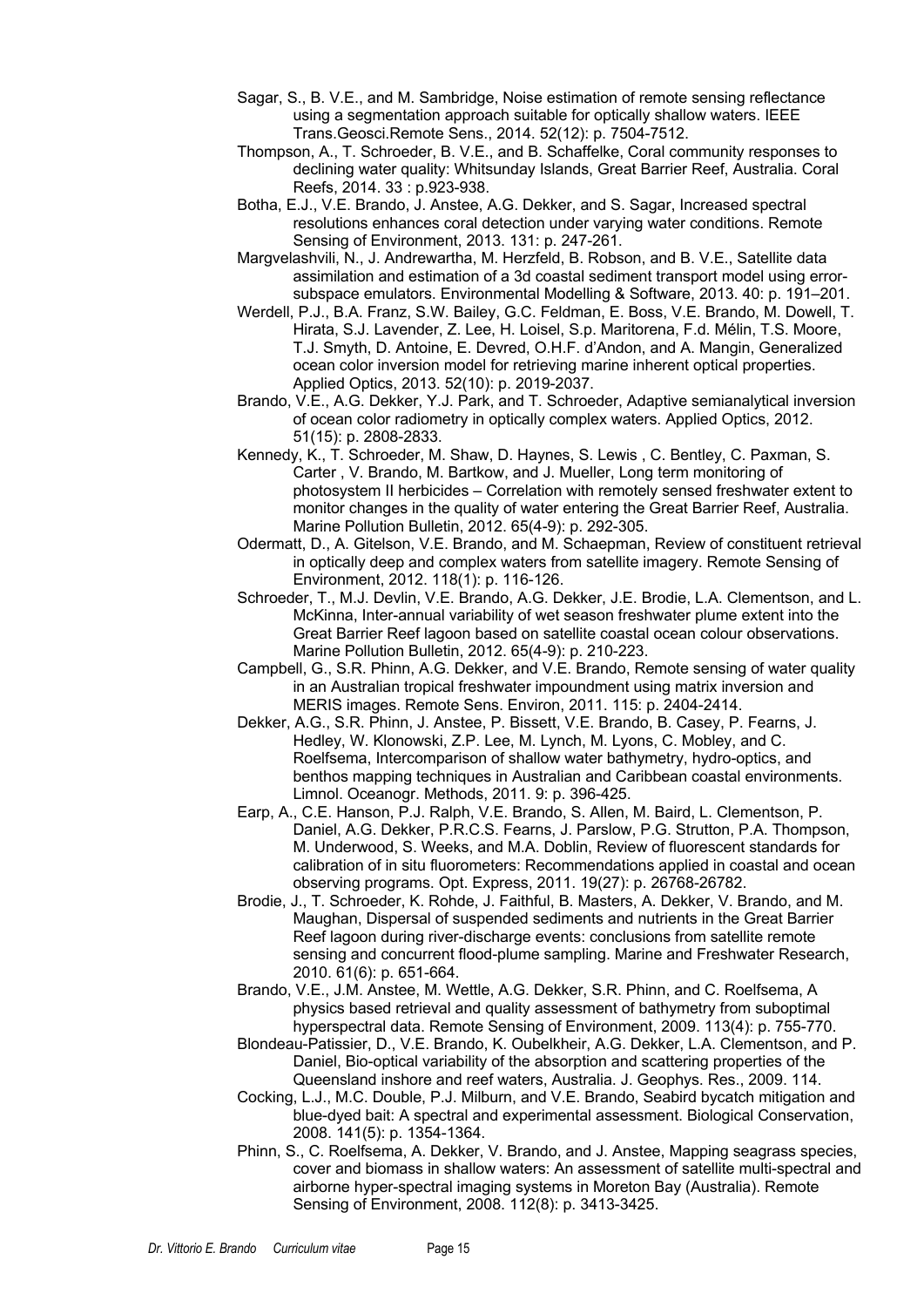- Sagar, S., B. V.E., and M. Sambridge, Noise estimation of remote sensing reflectance using a segmentation approach suitable for optically shallow waters. IEEE Trans.Geosci.Remote Sens., 2014. 52(12): p. 7504-7512.
- Thompson, A., T. Schroeder, B. V.E., and B. Schaffelke, Coral community responses to declining water quality: Whitsunday Islands, Great Barrier Reef, Australia. Coral Reefs, 2014. 33 : p.923-938.
- Botha, E.J., V.E. Brando, J. Anstee, A.G. Dekker, and S. Sagar, Increased spectral resolutions enhances coral detection under varying water conditions. Remote Sensing of Environment, 2013. 131: p. 247-261.
- Margvelashvili, N., J. Andrewartha, M. Herzfeld, B. Robson, and B. V.E., Satellite data assimilation and estimation of a 3d coastal sediment transport model using errorsubspace emulators. Environmental Modelling & Software, 2013. 40: p. 191–201.
- Werdell, P.J., B.A. Franz, S.W. Bailey, G.C. Feldman, E. Boss, V.E. Brando, M. Dowell, T. Hirata, S.J. Lavender, Z. Lee, H. Loisel, S.p. Maritorena, F.d. Mélin, T.S. Moore, T.J. Smyth, D. Antoine, E. Devred, O.H.F. d'Andon, and A. Mangin, Generalized ocean color inversion model for retrieving marine inherent optical properties. Applied Optics, 2013. 52(10): p. 2019-2037.
- Brando, V.E., A.G. Dekker, Y.J. Park, and T. Schroeder, Adaptive semianalytical inversion of ocean color radiometry in optically complex waters. Applied Optics, 2012. 51(15): p. 2808-2833.
- Kennedy, K., T. Schroeder, M. Shaw, D. Haynes, S. Lewis , C. Bentley, C. Paxman, S. Carter , V. Brando, M. Bartkow, and J. Mueller, Long term monitoring of photosystem II herbicides – Correlation with remotely sensed freshwater extent to monitor changes in the quality of water entering the Great Barrier Reef, Australia. Marine Pollution Bulletin, 2012. 65(4-9): p. 292-305.
- Odermatt, D., A. Gitelson, V.E. Brando, and M. Schaepman, Review of constituent retrieval in optically deep and complex waters from satellite imagery. Remote Sensing of Environment, 2012. 118(1): p. 116-126.
- Schroeder, T., M.J. Devlin, V.E. Brando, A.G. Dekker, J.E. Brodie, L.A. Clementson, and L. McKinna, Inter-annual variability of wet season freshwater plume extent into the Great Barrier Reef lagoon based on satellite coastal ocean colour observations. Marine Pollution Bulletin, 2012. 65(4-9): p. 210-223.
- Campbell, G., S.R. Phinn, A.G. Dekker, and V.E. Brando, Remote sensing of water quality in an Australian tropical freshwater impoundment using matrix inversion and MERIS images. Remote Sens. Environ, 2011. 115: p. 2404-2414.
- Dekker, A.G., S.R. Phinn, J. Anstee, P. Bissett, V.E. Brando, B. Casey, P. Fearns, J. Hedley, W. Klonowski, Z.P. Lee, M. Lynch, M. Lyons, C. Mobley, and C. Roelfsema, Intercomparison of shallow water bathymetry, hydro-optics, and benthos mapping techniques in Australian and Caribbean coastal environments. Limnol. Oceanogr. Methods, 2011. 9: p. 396-425.
- Earp, A., C.E. Hanson, P.J. Ralph, V.E. Brando, S. Allen, M. Baird, L. Clementson, P. Daniel, A.G. Dekker, P.R.C.S. Fearns, J. Parslow, P.G. Strutton, P.A. Thompson, M. Underwood, S. Weeks, and M.A. Doblin, Review of fluorescent standards for calibration of in situ fluorometers: Recommendations applied in coastal and ocean observing programs. Opt. Express, 2011. 19(27): p. 26768-26782.
- Brodie, J., T. Schroeder, K. Rohde, J. Faithful, B. Masters, A. Dekker, V. Brando, and M. Maughan, Dispersal of suspended sediments and nutrients in the Great Barrier Reef lagoon during river-discharge events: conclusions from satellite remote sensing and concurrent flood-plume sampling. Marine and Freshwater Research, 2010. 61(6): p. 651-664.
- Brando, V.E., J.M. Anstee, M. Wettle, A.G. Dekker, S.R. Phinn, and C. Roelfsema, A physics based retrieval and quality assessment of bathymetry from suboptimal hyperspectral data. Remote Sensing of Environment, 2009. 113(4): p. 755-770.
- Blondeau-Patissier, D., V.E. Brando, K. Oubelkheir, A.G. Dekker, L.A. Clementson, and P. Daniel, Bio-optical variability of the absorption and scattering properties of the Queensland inshore and reef waters, Australia. J. Geophys. Res., 2009. 114.
- Cocking, L.J., M.C. Double, P.J. Milburn, and V.E. Brando, Seabird bycatch mitigation and blue-dyed bait: A spectral and experimental assessment. Biological Conservation, 2008. 141(5): p. 1354-1364.
- Phinn, S., C. Roelfsema, A. Dekker, V. Brando, and J. Anstee, Mapping seagrass species, cover and biomass in shallow waters: An assessment of satellite multi-spectral and airborne hyper-spectral imaging systems in Moreton Bay (Australia). Remote Sensing of Environment, 2008. 112(8): p. 3413-3425.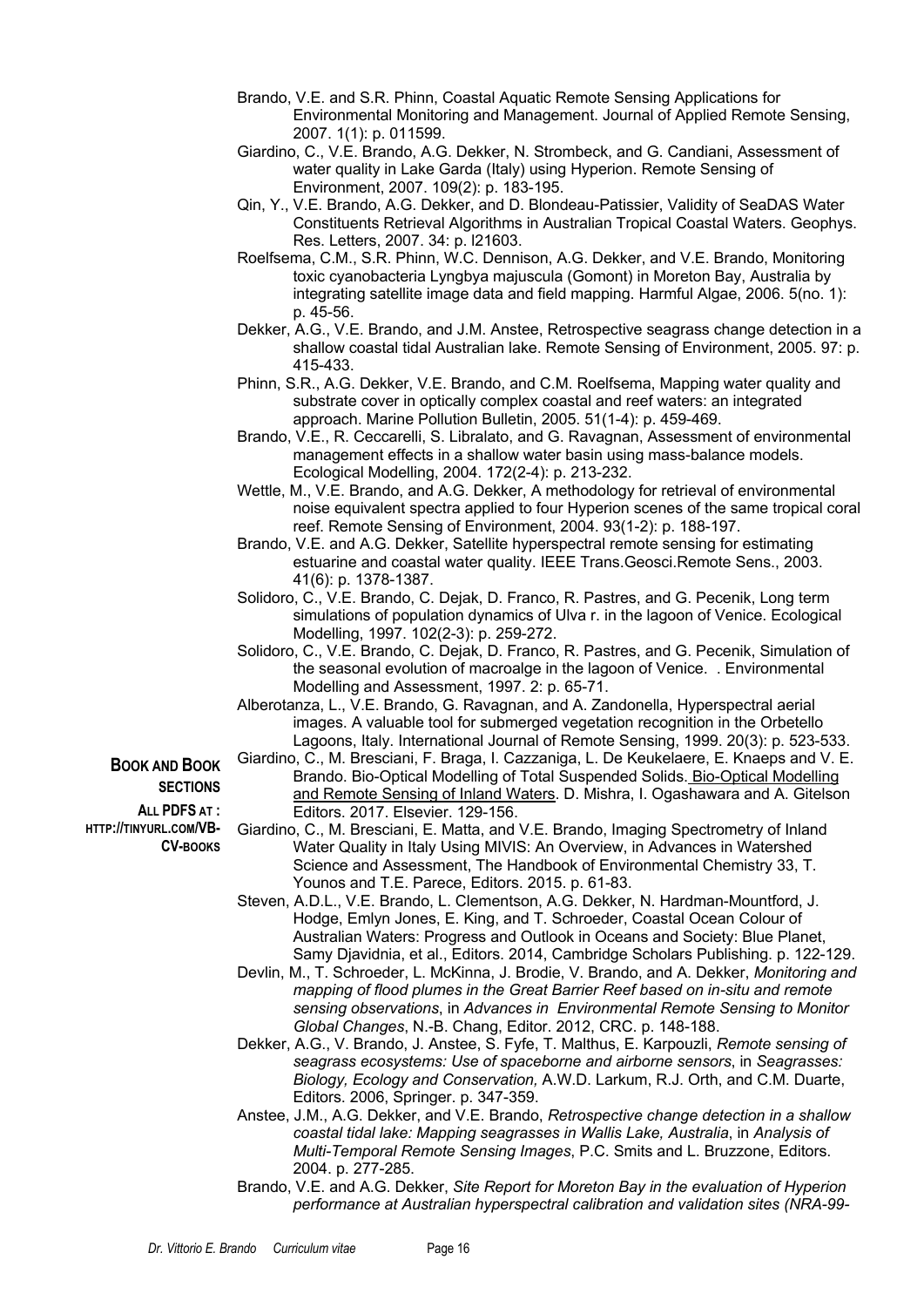- Brando, V.E. and S.R. Phinn, Coastal Aquatic Remote Sensing Applications for Environmental Monitoring and Management. Journal of Applied Remote Sensing, 2007. 1(1): p. 011599.
- Giardino, C., V.E. Brando, A.G. Dekker, N. Strombeck, and G. Candiani, Assessment of water quality in Lake Garda (Italy) using Hyperion. Remote Sensing of Environment, 2007. 109(2): p. 183-195.
- Qin, Y., V.E. Brando, A.G. Dekker, and D. Blondeau-Patissier, Validity of SeaDAS Water Constituents Retrieval Algorithms in Australian Tropical Coastal Waters. Geophys. Res. Letters, 2007. 34: p. l21603.
- Roelfsema, C.M., S.R. Phinn, W.C. Dennison, A.G. Dekker, and V.E. Brando, Monitoring toxic cyanobacteria Lyngbya majuscula (Gomont) in Moreton Bay, Australia by integrating satellite image data and field mapping. Harmful Algae, 2006. 5(no. 1): p. 45-56.
- Dekker, A.G., V.E. Brando, and J.M. Anstee, Retrospective seagrass change detection in a shallow coastal tidal Australian lake. Remote Sensing of Environment, 2005. 97: p. 415-433.
- Phinn, S.R., A.G. Dekker, V.E. Brando, and C.M. Roelfsema, Mapping water quality and substrate cover in optically complex coastal and reef waters: an integrated approach. Marine Pollution Bulletin, 2005. 51(1-4): p. 459-469.
- Brando, V.E., R. Ceccarelli, S. Libralato, and G. Ravagnan, Assessment of environmental management effects in a shallow water basin using mass-balance models. Ecological Modelling, 2004. 172(2-4): p. 213-232.
- Wettle, M., V.E. Brando, and A.G. Dekker, A methodology for retrieval of environmental noise equivalent spectra applied to four Hyperion scenes of the same tropical coral reef. Remote Sensing of Environment, 2004. 93(1-2): p. 188-197.
- Brando, V.E. and A.G. Dekker, Satellite hyperspectral remote sensing for estimating estuarine and coastal water quality. IEEE Trans.Geosci.Remote Sens., 2003. 41(6): p. 1378-1387.
- Solidoro, C., V.E. Brando, C. Dejak, D. Franco, R. Pastres, and G. Pecenik, Long term simulations of population dynamics of Ulva r. in the lagoon of Venice. Ecological Modelling, 1997. 102(2-3): p. 259-272.
- Solidoro, C., V.E. Brando, C. Dejak, D. Franco, R. Pastres, and G. Pecenik, Simulation of the seasonal evolution of macroalge in the lagoon of Venice. . Environmental Modelling and Assessment, 1997. 2: p. 65-71.
- Alberotanza, L., V.E. Brando, G. Ravagnan, and A. Zandonella, Hyperspectral aerial images. A valuable tool for submerged vegetation recognition in the Orbetello Lagoons, Italy. International Journal of Remote Sensing, 1999. 20(3): p. 523-533.
- Giardino, C., M. Bresciani, F. Braga, I. Cazzaniga, L. De Keukelaere, E. Knaeps and V. E. Brando. Bio-Optical Modelling of Total Suspended Solids. Bio-Optical Modelling and Remote Sensing of Inland Waters. D. Mishra, I. Ogashawara and A. Gitelson Editors. 2017. Elsevier. 129-156.
- Giardino, C., M. Bresciani, E. Matta, and V.E. Brando, Imaging Spectrometry of Inland Water Quality in Italy Using MIVIS: An Overview, in Advances in Watershed Science and Assessment, The Handbook of Environmental Chemistry 33, T. Younos and T.E. Parece, Editors. 2015. p. 61-83.
- Steven, A.D.L., V.E. Brando, L. Clementson, A.G. Dekker, N. Hardman-Mountford, J. Hodge, Emlyn Jones, E. King, and T. Schroeder, Coastal Ocean Colour of Australian Waters: Progress and Outlook in Oceans and Society: Blue Planet, Samy Djavidnia, et al., Editors. 2014, Cambridge Scholars Publishing. p. 122-129.
- Devlin, M., T. Schroeder, L. McKinna, J. Brodie, V. Brando, and A. Dekker, *Monitoring and mapping of flood plumes in the Great Barrier Reef based on in-situ and remote sensing observations*, in *Advances in Environmental Remote Sensing to Monitor Global Changes*, N.-B. Chang, Editor. 2012, CRC. p. 148-188.
- Dekker, A.G., V. Brando, J. Anstee, S. Fyfe, T. Malthus, E. Karpouzli, *Remote sensing of seagrass ecosystems: Use of spaceborne and airborne sensors*, in *Seagrasses: Biology, Ecology and Conservation,* A.W.D. Larkum, R.J. Orth, and C.M. Duarte, Editors. 2006, Springer. p. 347-359.
- Anstee, J.M., A.G. Dekker, and V.E. Brando, *Retrospective change detection in a shallow coastal tidal lake: Mapping seagrasses in Wallis Lake, Australia*, in *Analysis of Multi-Temporal Remote Sensing Images*, P.C. Smits and L. Bruzzone, Editors. 2004. p. 277-285.
- Brando, V.E. and A.G. Dekker, *Site Report for Moreton Bay in the evaluation of Hyperion performance at Australian hyperspectral calibration and validation sites (NRA-99-*

**SECTIONS ALL PDFS AT : HTTP://TINYURL.COM/VB-**

**CV-BOOKS**

**BOOK AND BOOK**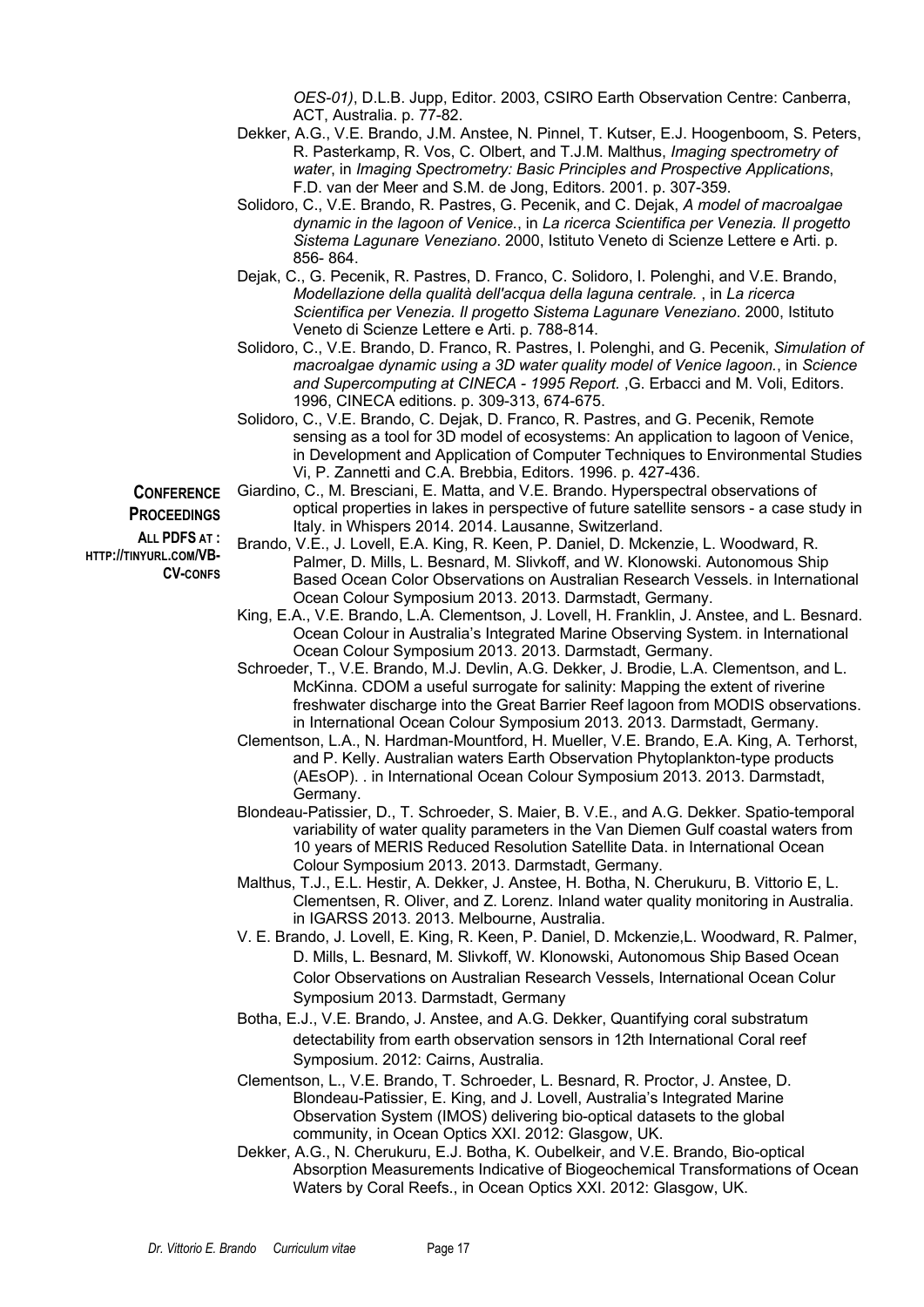*OES-01)*, D.L.B. Jupp, Editor. 2003, CSIRO Earth Observation Centre: Canberra, ACT, Australia. p. 77-82.

- Dekker, A.G., V.E. Brando, J.M. Anstee, N. Pinnel, T. Kutser, E.J. Hoogenboom, S. Peters, R. Pasterkamp, R. Vos, C. Olbert, and T.J.M. Malthus, *Imaging spectrometry of water*, in *Imaging Spectrometry: Basic Principles and Prospective Applications*, F.D. van der Meer and S.M. de Jong, Editors. 2001. p. 307-359.
- Solidoro, C., V.E. Brando, R. Pastres, G. Pecenik, and C. Dejak, *A model of macroalgae dynamic in the lagoon of Venice.*, in *La ricerca Scientifica per Venezia. Il progetto Sistema Lagunare Veneziano*. 2000, Istituto Veneto di Scienze Lettere e Arti. p. 856- 864.
- Dejak, C., G. Pecenik, R. Pastres, D. Franco, C. Solidoro, I. Polenghi, and V.E. Brando, *Modellazione della qualità dell'acqua della laguna centrale.* , in *La ricerca Scientifica per Venezia. Il progetto Sistema Lagunare Veneziano*. 2000, Istituto Veneto di Scienze Lettere e Arti. p. 788-814.
- Solidoro, C., V.E. Brando, D. Franco, R. Pastres, I. Polenghi, and G. Pecenik, *Simulation of macroalgae dynamic using a 3D water quality model of Venice lagoon.*, in *Science and Supercomputing at CINECA - 1995 Report.* ,G. Erbacci and M. Voli, Editors. 1996, CINECA editions. p. 309-313, 674-675.
- Solidoro, C., V.E. Brando, C. Dejak, D. Franco, R. Pastres, and G. Pecenik, Remote sensing as a tool for 3D model of ecosystems: An application to lagoon of Venice, in Development and Application of Computer Techniques to Environmental Studies Vi, P. Zannetti and C.A. Brebbia, Editors. 1996. p. 427-436.

**CONFERENCE PROCEEDINGS**

**ALL PDFS AT : HTTP://TINYURL.COM/VB-CV-CONFS**

- Giardino, C., M. Bresciani, E. Matta, and V.E. Brando. Hyperspectral observations of optical properties in lakes in perspective of future satellite sensors - a case study in Italy. in Whispers 2014. 2014. Lausanne, Switzerland.
- Brando, V.E., J. Lovell, E.A. King, R. Keen, P. Daniel, D. Mckenzie, L. Woodward, R. Palmer, D. Mills, L. Besnard, M. Slivkoff, and W. Klonowski. Autonomous Ship Based Ocean Color Observations on Australian Research Vessels. in International Ocean Colour Symposium 2013. 2013. Darmstadt, Germany.
- King, E.A., V.E. Brando, L.A. Clementson, J. Lovell, H. Franklin, J. Anstee, and L. Besnard. Ocean Colour in Australia's Integrated Marine Observing System. in International Ocean Colour Symposium 2013. 2013. Darmstadt, Germany.
- Schroeder, T., V.E. Brando, M.J. Devlin, A.G. Dekker, J. Brodie, L.A. Clementson, and L. McKinna. CDOM a useful surrogate for salinity: Mapping the extent of riverine freshwater discharge into the Great Barrier Reef lagoon from MODIS observations. in International Ocean Colour Symposium 2013. 2013. Darmstadt, Germany.
- Clementson, L.A., N. Hardman-Mountford, H. Mueller, V.E. Brando, E.A. King, A. Terhorst, and P. Kelly. Australian waters Earth Observation Phytoplankton-type products (AEsOP). . in International Ocean Colour Symposium 2013. 2013. Darmstadt, Germany.
- Blondeau-Patissier, D., T. Schroeder, S. Maier, B. V.E., and A.G. Dekker. Spatio-temporal variability of water quality parameters in the Van Diemen Gulf coastal waters from 10 years of MERIS Reduced Resolution Satellite Data. in International Ocean Colour Symposium 2013. 2013. Darmstadt, Germany.
- Malthus, T.J., E.L. Hestir, A. Dekker, J. Anstee, H. Botha, N. Cherukuru, B. Vittorio E, L. Clementsen, R. Oliver, and Z. Lorenz. Inland water quality monitoring in Australia. in IGARSS 2013. 2013. Melbourne, Australia.
- V. E. Brando, J. Lovell, E. King, R. Keen, P. Daniel, D. Mckenzie,L. Woodward, R. Palmer, D. Mills, L. Besnard, M. Slivkoff, W. Klonowski, Autonomous Ship Based Ocean Color Observations on Australian Research Vessels, International Ocean Colur Symposium 2013. Darmstadt, Germany
- Botha, E.J., V.E. Brando, J. Anstee, and A.G. Dekker, Quantifying coral substratum detectability from earth observation sensors in 12th International Coral reef Symposium. 2012: Cairns, Australia.
- Clementson, L., V.E. Brando, T. Schroeder, L. Besnard, R. Proctor, J. Anstee, D. Blondeau-Patissier, E. King, and J. Lovell, Australia's Integrated Marine Observation System (IMOS) delivering bio-optical datasets to the global community, in Ocean Optics XXI. 2012: Glasgow, UK.
- Dekker, A.G., N. Cherukuru, E.J. Botha, K. Oubelkeir, and V.E. Brando, Bio-optical Absorption Measurements Indicative of Biogeochemical Transformations of Ocean Waters by Coral Reefs., in Ocean Optics XXI. 2012: Glasgow, UK.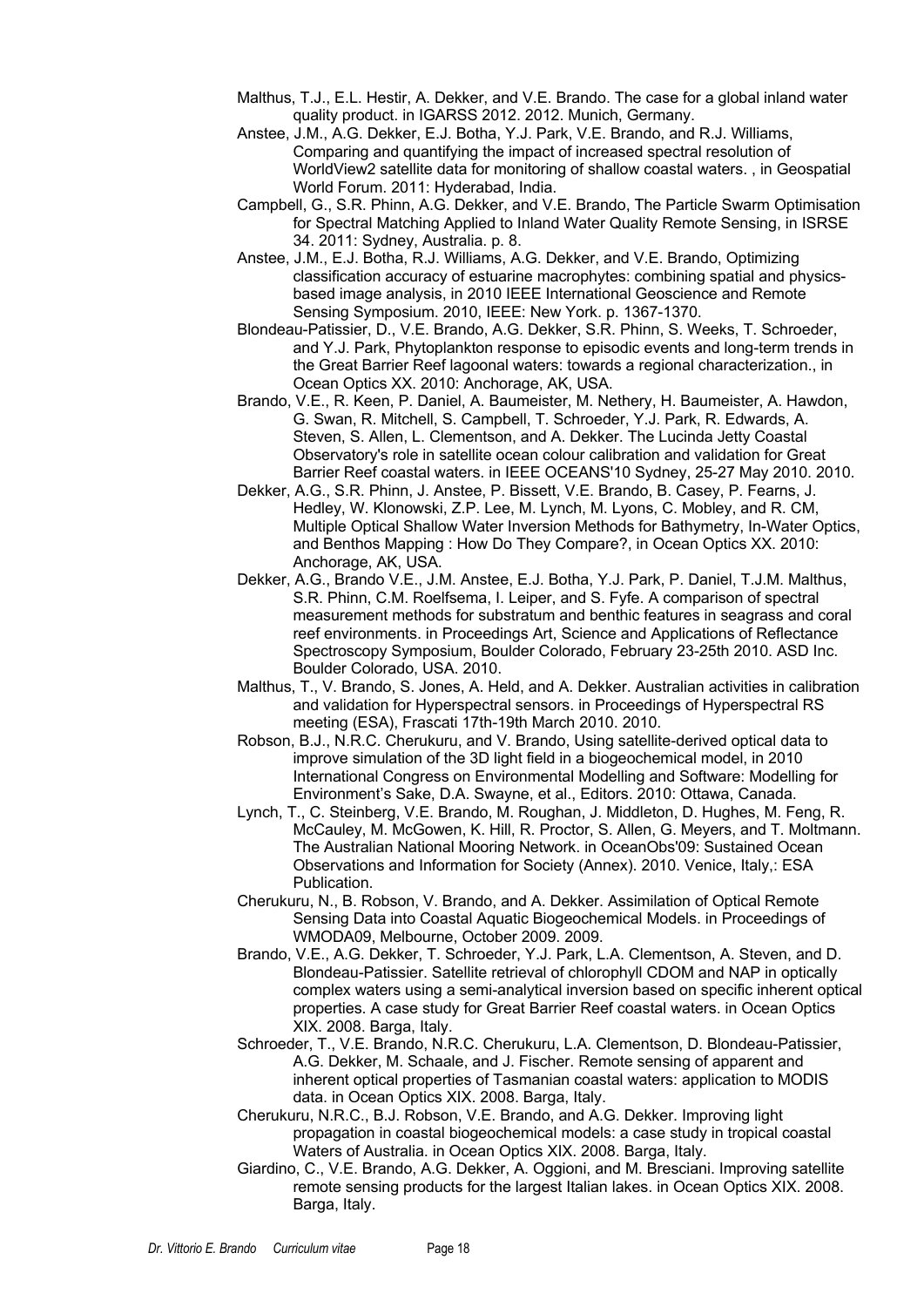- Malthus, T.J., E.L. Hestir, A. Dekker, and V.E. Brando. The case for a global inland water quality product. in IGARSS 2012. 2012. Munich, Germany.
- Anstee, J.M., A.G. Dekker, E.J. Botha, Y.J. Park, V.E. Brando, and R.J. Williams, Comparing and quantifying the impact of increased spectral resolution of WorldView2 satellite data for monitoring of shallow coastal waters. , in Geospatial World Forum. 2011: Hyderabad, India.
- Campbell, G., S.R. Phinn, A.G. Dekker, and V.E. Brando, The Particle Swarm Optimisation for Spectral Matching Applied to Inland Water Quality Remote Sensing, in ISRSE 34. 2011: Sydney, Australia. p. 8.
- Anstee, J.M., E.J. Botha, R.J. Williams, A.G. Dekker, and V.E. Brando, Optimizing classification accuracy of estuarine macrophytes: combining spatial and physicsbased image analysis, in 2010 IEEE International Geoscience and Remote Sensing Symposium. 2010, IEEE: New York. p. 1367-1370.
- Blondeau-Patissier, D., V.E. Brando, A.G. Dekker, S.R. Phinn, S. Weeks, T. Schroeder, and Y.J. Park, Phytoplankton response to episodic events and long-term trends in the Great Barrier Reef lagoonal waters: towards a regional characterization., in Ocean Optics XX. 2010: Anchorage, AK, USA.
- Brando, V.E., R. Keen, P. Daniel, A. Baumeister, M. Nethery, H. Baumeister, A. Hawdon, G. Swan, R. Mitchell, S. Campbell, T. Schroeder, Y.J. Park, R. Edwards, A. Steven, S. Allen, L. Clementson, and A. Dekker. The Lucinda Jetty Coastal Observatory's role in satellite ocean colour calibration and validation for Great Barrier Reef coastal waters. in IEEE OCEANS'10 Sydney, 25-27 May 2010. 2010.
- Dekker, A.G., S.R. Phinn, J. Anstee, P. Bissett, V.E. Brando, B. Casey, P. Fearns, J. Hedley, W. Klonowski, Z.P. Lee, M. Lynch, M. Lyons, C. Mobley, and R. CM, Multiple Optical Shallow Water Inversion Methods for Bathymetry, In-Water Optics, and Benthos Mapping : How Do They Compare?, in Ocean Optics XX. 2010: Anchorage, AK, USA.
- Dekker, A.G., Brando V.E., J.M. Anstee, E.J. Botha, Y.J. Park, P. Daniel, T.J.M. Malthus, S.R. Phinn, C.M. Roelfsema, I. Leiper, and S. Fyfe. A comparison of spectral measurement methods for substratum and benthic features in seagrass and coral reef environments. in Proceedings Art, Science and Applications of Reflectance Spectroscopy Symposium, Boulder Colorado, February 23-25th 2010. ASD Inc. Boulder Colorado, USA. 2010.
- Malthus, T., V. Brando, S. Jones, A. Held, and A. Dekker. Australian activities in calibration and validation for Hyperspectral sensors. in Proceedings of Hyperspectral RS meeting (ESA), Frascati 17th-19th March 2010. 2010.
- Robson, B.J., N.R.C. Cherukuru, and V. Brando, Using satellite-derived optical data to improve simulation of the 3D light field in a biogeochemical model, in 2010 International Congress on Environmental Modelling and Software: Modelling for Environment's Sake, D.A. Swayne, et al., Editors. 2010: Ottawa, Canada.
- Lynch, T., C. Steinberg, V.E. Brando, M. Roughan, J. Middleton, D. Hughes, M. Feng, R. McCauley, M. McGowen, K. Hill, R. Proctor, S. Allen, G. Meyers, and T. Moltmann. The Australian National Mooring Network. in OceanObs'09: Sustained Ocean Observations and Information for Society (Annex). 2010. Venice, Italy,: ESA Publication.
- Cherukuru, N., B. Robson, V. Brando, and A. Dekker. Assimilation of Optical Remote Sensing Data into Coastal Aquatic Biogeochemical Models. in Proceedings of WMODA09, Melbourne, October 2009. 2009.
- Brando, V.E., A.G. Dekker, T. Schroeder, Y.J. Park, L.A. Clementson, A. Steven, and D. Blondeau-Patissier. Satellite retrieval of chlorophyll CDOM and NAP in optically complex waters using a semi-analytical inversion based on specific inherent optical properties. A case study for Great Barrier Reef coastal waters. in Ocean Optics XIX. 2008. Barga, Italy.
- Schroeder, T., V.E. Brando, N.R.C. Cherukuru, L.A. Clementson, D. Blondeau-Patissier, A.G. Dekker, M. Schaale, and J. Fischer. Remote sensing of apparent and inherent optical properties of Tasmanian coastal waters: application to MODIS data. in Ocean Optics XIX, 2008. Barga, Italy.
- Cherukuru, N.R.C., B.J. Robson, V.E. Brando, and A.G. Dekker. Improving light propagation in coastal biogeochemical models: a case study in tropical coastal Waters of Australia. in Ocean Optics XIX. 2008. Barga, Italy.
- Giardino, C., V.E. Brando, A.G. Dekker, A. Oggioni, and M. Bresciani. Improving satellite remote sensing products for the largest Italian lakes. in Ocean Optics XIX. 2008. Barga, Italy.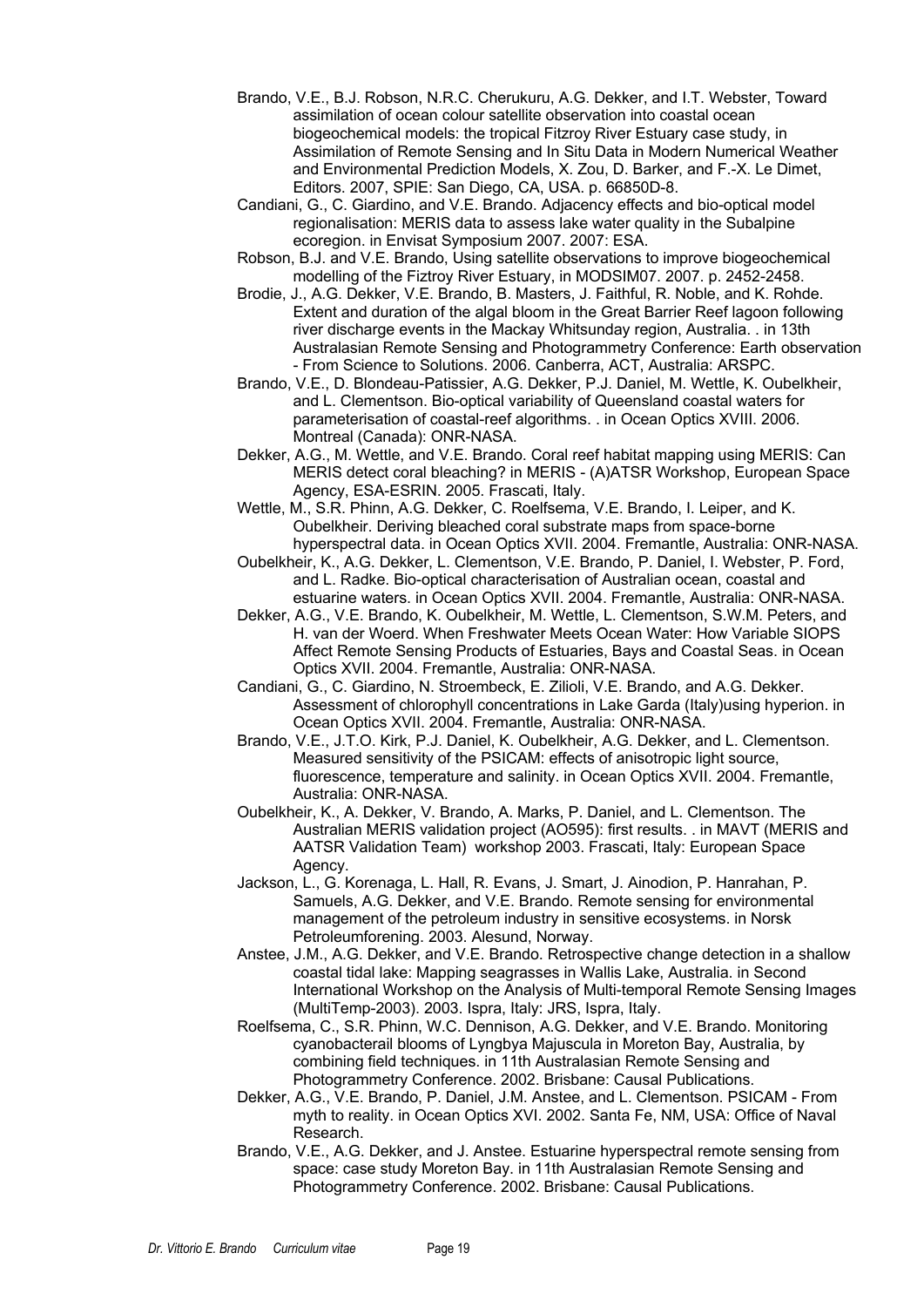- Brando, V.E., B.J. Robson, N.R.C. Cherukuru, A.G. Dekker, and I.T. Webster, Toward assimilation of ocean colour satellite observation into coastal ocean biogeochemical models: the tropical Fitzroy River Estuary case study, in Assimilation of Remote Sensing and In Situ Data in Modern Numerical Weather and Environmental Prediction Models, X. Zou, D. Barker, and F.-X. Le Dimet, Editors. 2007, SPIE: San Diego, CA, USA. p. 66850D-8.
- Candiani, G., C. Giardino, and V.E. Brando. Adjacency effects and bio-optical model regionalisation: MERIS data to assess lake water quality in the Subalpine ecoregion. in Envisat Symposium 2007. 2007: ESA.
- Robson, B.J. and V.E. Brando, Using satellite observations to improve biogeochemical modelling of the Fiztroy River Estuary, in MODSIM07. 2007. p. 2452-2458.
- Brodie, J., A.G. Dekker, V.E. Brando, B. Masters, J. Faithful, R. Noble, and K. Rohde. Extent and duration of the algal bloom in the Great Barrier Reef lagoon following river discharge events in the Mackay Whitsunday region, Australia. . in 13th Australasian Remote Sensing and Photogrammetry Conference: Earth observation - From Science to Solutions. 2006. Canberra, ACT, Australia: ARSPC.
- Brando, V.E., D. Blondeau-Patissier, A.G. Dekker, P.J. Daniel, M. Wettle, K. Oubelkheir, and L. Clementson. Bio-optical variability of Queensland coastal waters for parameterisation of coastal-reef algorithms. . in Ocean Optics XVIII. 2006. Montreal (Canada): ONR-NASA.
- Dekker, A.G., M. Wettle, and V.E. Brando. Coral reef habitat mapping using MERIS: Can MERIS detect coral bleaching? in MERIS - (A)ATSR Workshop, European Space Agency, ESA-ESRIN. 2005. Frascati, Italy.
- Wettle, M., S.R. Phinn, A.G. Dekker, C. Roelfsema, V.E. Brando, I. Leiper, and K. Oubelkheir. Deriving bleached coral substrate maps from space-borne hyperspectral data. in Ocean Optics XVII. 2004. Fremantle, Australia: ONR-NASA.
- Oubelkheir, K., A.G. Dekker, L. Clementson, V.E. Brando, P. Daniel, I. Webster, P. Ford, and L. Radke. Bio-optical characterisation of Australian ocean, coastal and estuarine waters. in Ocean Optics XVII. 2004. Fremantle, Australia: ONR-NASA.
- Dekker, A.G., V.E. Brando, K. Oubelkheir, M. Wettle, L. Clementson, S.W.M. Peters, and H. van der Woerd. When Freshwater Meets Ocean Water: How Variable SIOPS Affect Remote Sensing Products of Estuaries, Bays and Coastal Seas. in Ocean Optics XVII. 2004. Fremantle, Australia: ONR-NASA.
- Candiani, G., C. Giardino, N. Stroembeck, E. Zilioli, V.E. Brando, and A.G. Dekker. Assessment of chlorophyll concentrations in Lake Garda (Italy)using hyperion. in Ocean Optics XVII. 2004. Fremantle, Australia: ONR-NASA.
- Brando, V.E., J.T.O. Kirk, P.J. Daniel, K. Oubelkheir, A.G. Dekker, and L. Clementson. Measured sensitivity of the PSICAM: effects of anisotropic light source, fluorescence, temperature and salinity. in Ocean Optics XVII. 2004. Fremantle, Australia: ONR-NASA.
- Oubelkheir, K., A. Dekker, V. Brando, A. Marks, P. Daniel, and L. Clementson. The Australian MERIS validation project (AO595): first results. . in MAVT (MERIS and AATSR Validation Team) workshop 2003. Frascati, Italy: European Space Agency.
- Jackson, L., G. Korenaga, L. Hall, R. Evans, J. Smart, J. Ainodion, P. Hanrahan, P. Samuels, A.G. Dekker, and V.E. Brando. Remote sensing for environmental management of the petroleum industry in sensitive ecosystems. in Norsk Petroleumforening. 2003. Alesund, Norway.
- Anstee, J.M., A.G. Dekker, and V.E. Brando. Retrospective change detection in a shallow coastal tidal lake: Mapping seagrasses in Wallis Lake, Australia. in Second International Workshop on the Analysis of Multi-temporal Remote Sensing Images (MultiTemp-2003). 2003. Ispra, Italy: JRS, Ispra, Italy.
- Roelfsema, C., S.R. Phinn, W.C. Dennison, A.G. Dekker, and V.E. Brando. Monitoring cyanobacterail blooms of Lyngbya Majuscula in Moreton Bay, Australia, by combining field techniques. in 11th Australasian Remote Sensing and Photogrammetry Conference. 2002. Brisbane: Causal Publications.
- Dekker, A.G., V.E. Brando, P. Daniel, J.M. Anstee, and L. Clementson. PSICAM From myth to reality. in Ocean Optics XVI. 2002. Santa Fe, NM, USA: Office of Naval Research.
- Brando, V.E., A.G. Dekker, and J. Anstee. Estuarine hyperspectral remote sensing from space: case study Moreton Bay. in 11th Australasian Remote Sensing and Photogrammetry Conference. 2002. Brisbane: Causal Publications.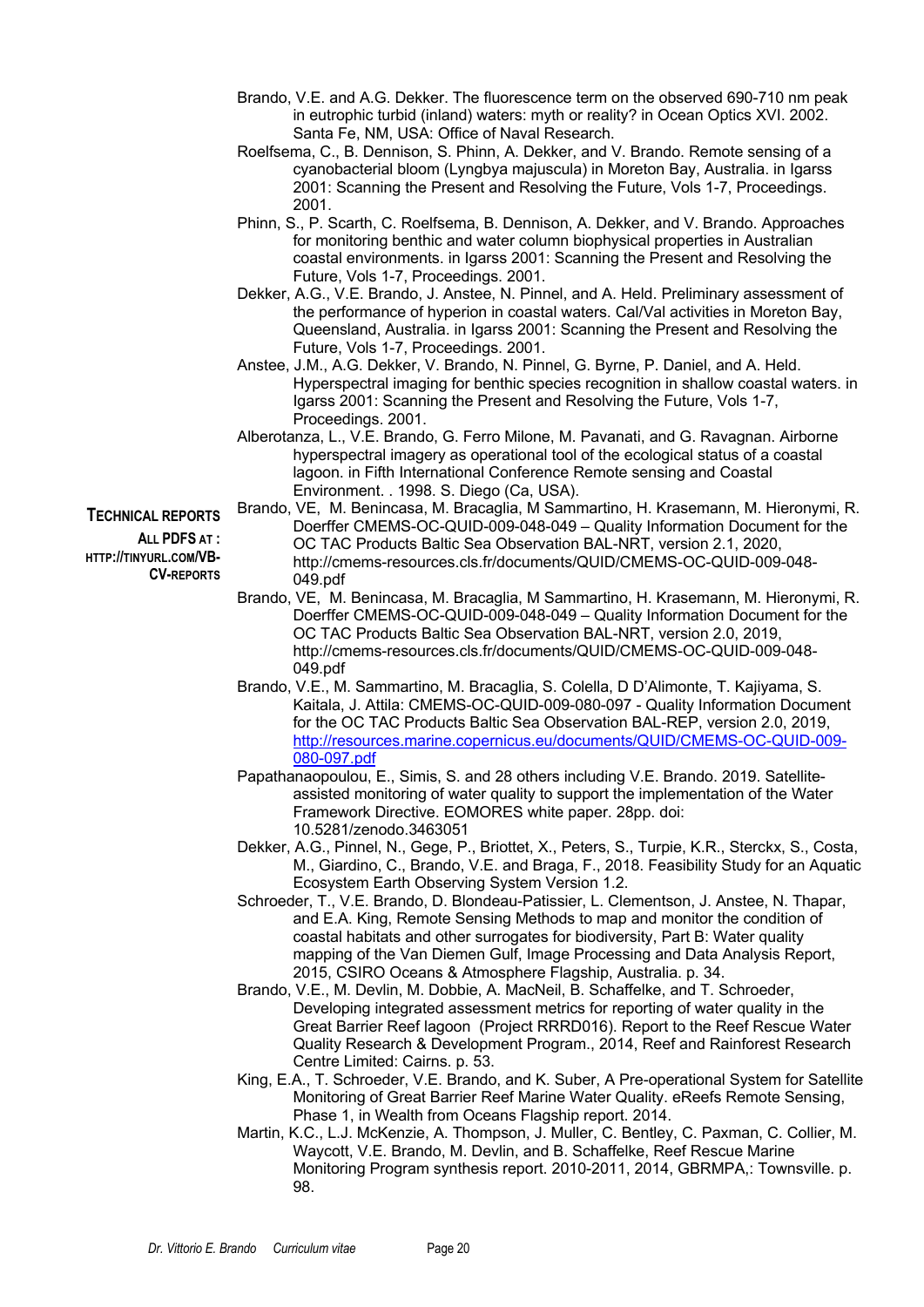- Brando, V.E. and A.G. Dekker. The fluorescence term on the observed 690-710 nm peak in eutrophic turbid (inland) waters: myth or reality? in Ocean Optics XVI. 2002. Santa Fe, NM, USA: Office of Naval Research.
- Roelfsema, C., B. Dennison, S. Phinn, A. Dekker, and V. Brando. Remote sensing of a cyanobacterial bloom (Lyngbya majuscula) in Moreton Bay, Australia. in Igarss 2001: Scanning the Present and Resolving the Future, Vols 1-7, Proceedings. 2001.
- Phinn, S., P. Scarth, C. Roelfsema, B. Dennison, A. Dekker, and V. Brando. Approaches for monitoring benthic and water column biophysical properties in Australian coastal environments. in Igarss 2001: Scanning the Present and Resolving the Future, Vols 1-7, Proceedings. 2001.
- Dekker, A.G., V.E. Brando, J. Anstee, N. Pinnel, and A. Held. Preliminary assessment of the performance of hyperion in coastal waters. Cal/Val activities in Moreton Bay, Queensland, Australia. in Igarss 2001: Scanning the Present and Resolving the Future, Vols 1-7, Proceedings. 2001.
- Anstee, J.M., A.G. Dekker, V. Brando, N. Pinnel, G. Byrne, P. Daniel, and A. Held. Hyperspectral imaging for benthic species recognition in shallow coastal waters. in Igarss 2001: Scanning the Present and Resolving the Future, Vols 1-7, Proceedings. 2001.
- Alberotanza, L., V.E. Brando, G. Ferro Milone, M. Pavanati, and G. Ravagnan. Airborne hyperspectral imagery as operational tool of the ecological status of a coastal lagoon. in Fifth International Conference Remote sensing and Coastal Environment. . 1998. S. Diego (Ca, USA). Brando, VE, M. Benincasa, M. Bracaglia, M Sammartino, H. Krasemann, M. Hieronymi, R.
- **TECHNICAL REPORTS**

**ALL PDFS AT : HTTP://TINYURL.COM/VB-**

**CV-REPORTS**

Doerffer CMEMS-OC-QUID-009-048-049 – Quality Information Document for the

- OC TAC Products Baltic Sea Observation BAL-NRT, version 2.1, 2020, http://cmems-resources.cls.fr/documents/QUID/CMEMS-OC-QUID-009-048- 049.pdf
- Brando, VE, M. Benincasa, M. Bracaglia, M Sammartino, H. Krasemann, M. Hieronymi, R. Doerffer CMEMS-OC-QUID-009-048-049 – Quality Information Document for the OC TAC Products Baltic Sea Observation BAL-NRT, version 2.0, 2019, http://cmems-resources.cls.fr/documents/QUID/CMEMS-OC-QUID-009-048- 049.pdf
- Brando, V.E., M. Sammartino, M. Bracaglia, S. Colella, D D'Alimonte, T. Kajiyama, S. Kaitala, J. Attila: CMEMS-OC-QUID-009-080-097 - Quality Information Document for the OC TAC Products Baltic Sea Observation BAL-REP, version 2.0, 2019, http://resources.marine.copernicus.eu/documents/QUID/CMEMS-OC-QUID-009- 080-097.pdf
- Papathanaopoulou, E., Simis, S. and 28 others including V.E. Brando. 2019. Satelliteassisted monitoring of water quality to support the implementation of the Water Framework Directive. EOMORES white paper. 28pp. doi: 10.5281/zenodo.3463051
- Dekker, A.G., Pinnel, N., Gege, P., Briottet, X., Peters, S., Turpie, K.R., Sterckx, S., Costa, M., Giardino, C., Brando, V.E. and Braga, F., 2018. Feasibility Study for an Aquatic Ecosystem Earth Observing System Version 1.2.
- Schroeder, T., V.E. Brando, D. Blondeau-Patissier, L. Clementson, J. Anstee, N. Thapar, and E.A. King, Remote Sensing Methods to map and monitor the condition of coastal habitats and other surrogates for biodiversity, Part B: Water quality mapping of the Van Diemen Gulf, Image Processing and Data Analysis Report, 2015, CSIRO Oceans & Atmosphere Flagship, Australia. p. 34.
- Brando, V.E., M. Devlin, M. Dobbie, A. MacNeil, B. Schaffelke, and T. Schroeder, Developing integrated assessment metrics for reporting of water quality in the Great Barrier Reef lagoon (Project RRRD016). Report to the Reef Rescue Water Quality Research & Development Program., 2014, Reef and Rainforest Research Centre Limited: Cairns. p. 53.
- King, E.A., T. Schroeder, V.E. Brando, and K. Suber, A Pre-operational System for Satellite Monitoring of Great Barrier Reef Marine Water Quality. eReefs Remote Sensing, Phase 1, in Wealth from Oceans Flagship report. 2014.
- Martin, K.C., L.J. McKenzie, A. Thompson, J. Muller, C. Bentley, C. Paxman, C. Collier, M. Waycott, V.E. Brando, M. Devlin, and B. Schaffelke, Reef Rescue Marine Monitoring Program synthesis report. 2010-2011, 2014, GBRMPA,: Townsville. p. 98.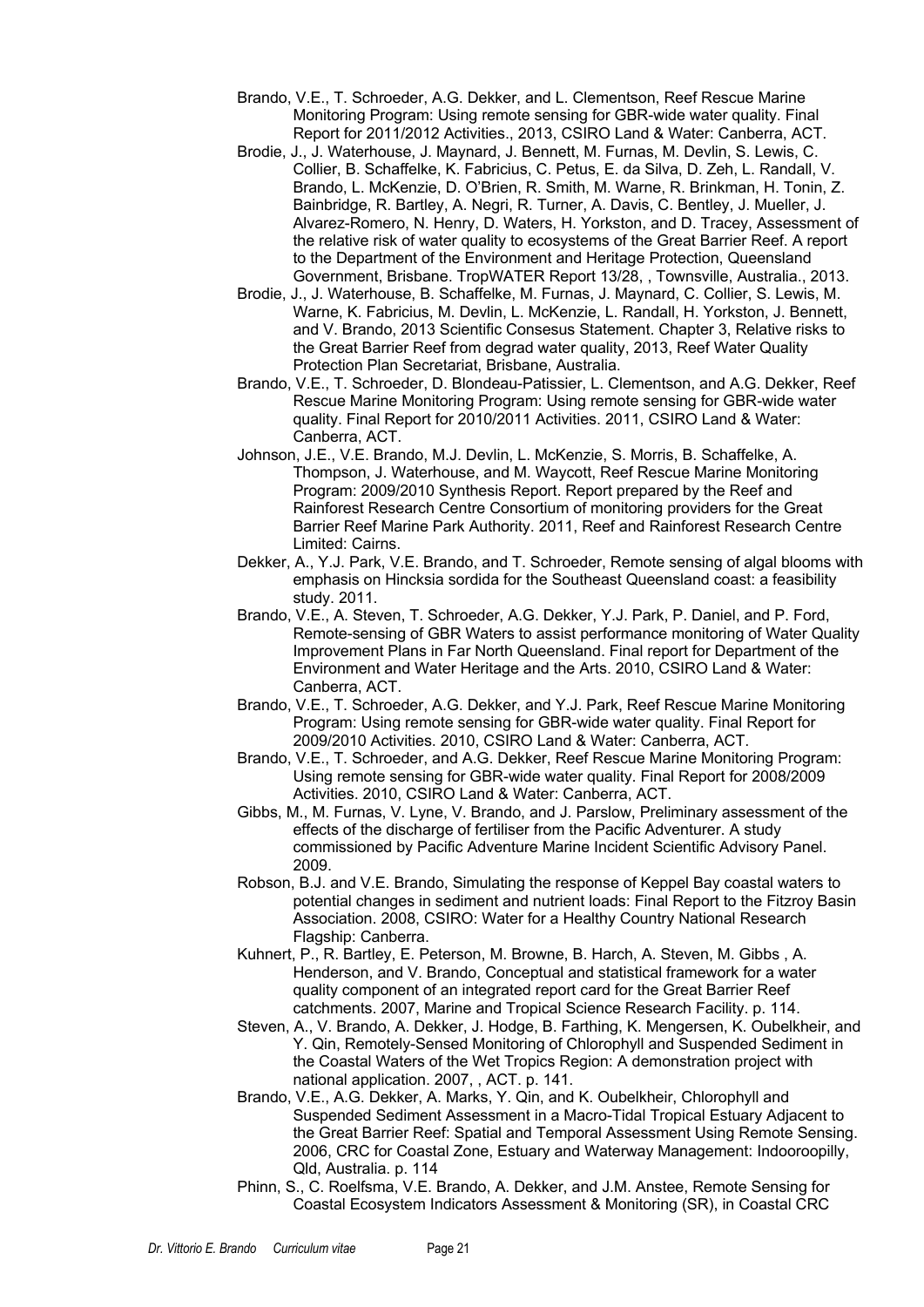- Brando, V.E., T. Schroeder, A.G. Dekker, and L. Clementson, Reef Rescue Marine Monitoring Program: Using remote sensing for GBR-wide water quality. Final Report for 2011/2012 Activities., 2013, CSIRO Land & Water: Canberra, ACT.
- Brodie, J., J. Waterhouse, J. Maynard, J. Bennett, M. Furnas, M. Devlin, S. Lewis, C. Collier, B. Schaffelke, K. Fabricius, C. Petus, E. da Silva, D. Zeh, L. Randall, V. Brando, L. McKenzie, D. O'Brien, R. Smith, M. Warne, R. Brinkman, H. Tonin, Z. Bainbridge, R. Bartley, A. Negri, R. Turner, A. Davis, C. Bentley, J. Mueller, J. Alvarez-Romero, N. Henry, D. Waters, H. Yorkston, and D. Tracey, Assessment of the relative risk of water quality to ecosystems of the Great Barrier Reef. A report to the Department of the Environment and Heritage Protection, Queensland Government, Brisbane. TropWATER Report 13/28, , Townsville, Australia., 2013.
- Brodie, J., J. Waterhouse, B. Schaffelke, M. Furnas, J. Maynard, C. Collier, S. Lewis, M. Warne, K. Fabricius, M. Devlin, L. McKenzie, L. Randall, H. Yorkston, J. Bennett, and V. Brando, 2013 Scientific Consesus Statement. Chapter 3, Relative risks to the Great Barrier Reef from degrad water quality, 2013, Reef Water Quality Protection Plan Secretariat, Brisbane, Australia.
- Brando, V.E., T. Schroeder, D. Blondeau-Patissier, L. Clementson, and A.G. Dekker, Reef Rescue Marine Monitoring Program: Using remote sensing for GBR-wide water quality. Final Report for 2010/2011 Activities. 2011, CSIRO Land & Water: Canberra, ACT.
- Johnson, J.E., V.E. Brando, M.J. Devlin, L. McKenzie, S. Morris, B. Schaffelke, A. Thompson, J. Waterhouse, and M. Waycott, Reef Rescue Marine Monitoring Program: 2009/2010 Synthesis Report. Report prepared by the Reef and Rainforest Research Centre Consortium of monitoring providers for the Great Barrier Reef Marine Park Authority. 2011, Reef and Rainforest Research Centre Limited: Cairns.
- Dekker, A., Y.J. Park, V.E. Brando, and T. Schroeder, Remote sensing of algal blooms with emphasis on Hincksia sordida for the Southeast Queensland coast: a feasibility study. 2011.
- Brando, V.E., A. Steven, T. Schroeder, A.G. Dekker, Y.J. Park, P. Daniel, and P. Ford, Remote-sensing of GBR Waters to assist performance monitoring of Water Quality Improvement Plans in Far North Queensland. Final report for Department of the Environment and Water Heritage and the Arts. 2010, CSIRO Land & Water: Canberra, ACT.
- Brando, V.E., T. Schroeder, A.G. Dekker, and Y.J. Park, Reef Rescue Marine Monitoring Program: Using remote sensing for GBR-wide water quality. Final Report for 2009/2010 Activities. 2010, CSIRO Land & Water: Canberra, ACT.
- Brando, V.E., T. Schroeder, and A.G. Dekker, Reef Rescue Marine Monitoring Program: Using remote sensing for GBR-wide water quality. Final Report for 2008/2009 Activities. 2010, CSIRO Land & Water: Canberra, ACT.
- Gibbs, M., M. Furnas, V. Lyne, V. Brando, and J. Parslow, Preliminary assessment of the effects of the discharge of fertiliser from the Pacific Adventurer. A study commissioned by Pacific Adventure Marine Incident Scientific Advisory Panel. 2009.
- Robson, B.J. and V.E. Brando, Simulating the response of Keppel Bay coastal waters to potential changes in sediment and nutrient loads: Final Report to the Fitzroy Basin Association. 2008, CSIRO: Water for a Healthy Country National Research Flagship: Canberra.
- Kuhnert, P., R. Bartley, E. Peterson, M. Browne, B. Harch, A. Steven, M. Gibbs , A. Henderson, and V. Brando, Conceptual and statistical framework for a water quality component of an integrated report card for the Great Barrier Reef catchments. 2007, Marine and Tropical Science Research Facility. p. 114.
- Steven, A., V. Brando, A. Dekker, J. Hodge, B. Farthing, K. Mengersen, K. Oubelkheir, and Y. Qin, Remotely-Sensed Monitoring of Chlorophyll and Suspended Sediment in the Coastal Waters of the Wet Tropics Region: A demonstration project with national application. 2007, , ACT. p. 141.
- Brando, V.E., A.G. Dekker, A. Marks, Y. Qin, and K. Oubelkheir, Chlorophyll and Suspended Sediment Assessment in a Macro-Tidal Tropical Estuary Adjacent to the Great Barrier Reef: Spatial and Temporal Assessment Using Remote Sensing. 2006, CRC for Coastal Zone, Estuary and Waterway Management: Indooroopilly, Qld, Australia. p. 114
- Phinn, S., C. Roelfsma, V.E. Brando, A. Dekker, and J.M. Anstee, Remote Sensing for Coastal Ecosystem Indicators Assessment & Monitoring (SR), in Coastal CRC